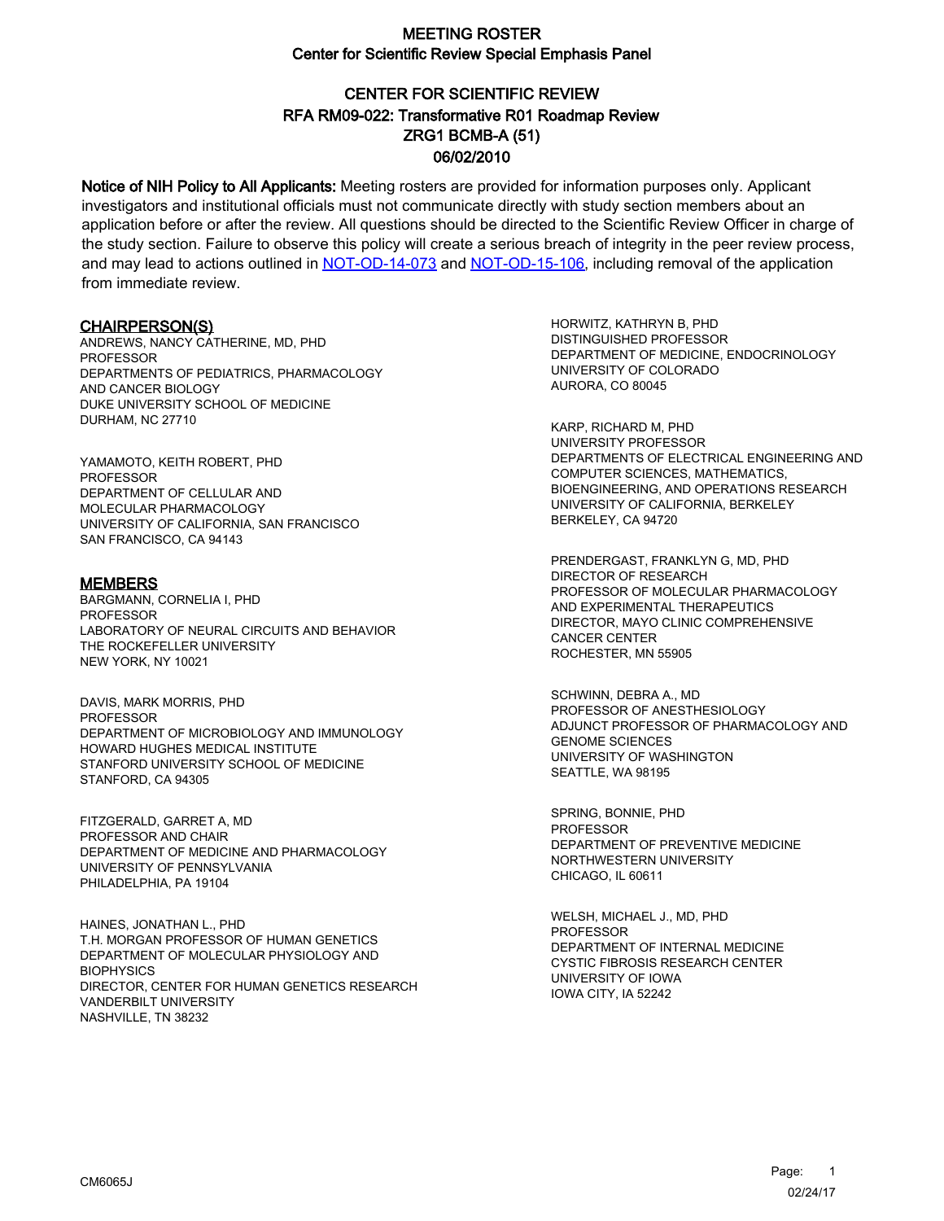# CENTER FOR SCIENTIFIC REVIEW ZRG1 BCMB-A (51) 06/02/2010 RFA RM09-022: Transformative R01 Roadmap Review

Notice of NIH Policy to All Applicants: Meeting rosters are provided for information purposes only. Applicant investigators and institutional officials must not communicate directly with study section members about an application before or after the review. All questions should be directed to the Scientific Review Officer in charge of the study section. Failure to observe this policy will create a serious breach of integrity in the peer review process, and may lead to actions outlined in [NOT-OD-14-073](https://grants.nih.gov/grants/guide/notice-files/NOT-OD-14-073.html) and [NOT-OD-15-106,](https://grants.nih.gov/grants/guide/notice-files/NOT-OD-15-106.html) including removal of the application from immediate review.

#### CHAIRPERSON(S)

ANDREWS, NANCY CATHERINE, MD, PHD PROFESSOR DEPARTMENTS OF PEDIATRICS, PHARMACOLOGY AND CANCER BIOLOGY DUKE UNIVERSITY SCHOOL OF MEDICINE DURHAM, NC 27710

YAMAMOTO, KEITH ROBERT, PHD **PROFESSOR** DEPARTMENT OF CELLULAR AND MOLECULAR PHARMACOLOGY UNIVERSITY OF CALIFORNIA, SAN FRANCISCO SAN FRANCISCO, CA 94143

#### **MEMBERS**

BARGMANN, CORNELIA I, PHD PROFESSOR LABORATORY OF NEURAL CIRCUITS AND BEHAVIOR THE ROCKEFELLER UNIVERSITY NEW YORK, NY 10021

DAVIS, MARK MORRIS, PHD **PROFESSOR** DEPARTMENT OF MICROBIOLOGY AND IMMUNOLOGY HOWARD HUGHES MEDICAL INSTITUTE STANFORD UNIVERSITY SCHOOL OF MEDICINE STANFORD, CA 94305

FITZGERALD, GARRET A, MD PROFESSOR AND CHAIR DEPARTMENT OF MEDICINE AND PHARMACOLOGY UNIVERSITY OF PENNSYLVANIA PHILADELPHIA, PA 19104

HAINES, JONATHAN L., PHD T.H. MORGAN PROFESSOR OF HUMAN GENETICS DEPARTMENT OF MOLECULAR PHYSIOLOGY AND **BIOPHYSICS** DIRECTOR, CENTER FOR HUMAN GENETICS RESEARCH VANDERBILT UNIVERSITY NASHVILLE, TN 38232

HORWITZ, KATHRYN B, PHD DISTINGUISHED PROFESSOR DEPARTMENT OF MEDICINE, ENDOCRINOLOGY UNIVERSITY OF COLORADO AURORA, CO 80045

KARP, RICHARD M, PHD UNIVERSITY PROFESSOR DEPARTMENTS OF ELECTRICAL ENGINEERING AND COMPUTER SCIENCES, MATHEMATICS, BIOENGINEERING, AND OPERATIONS RESEARCH UNIVERSITY OF CALIFORNIA, BERKELEY BERKELEY, CA 94720

PRENDERGAST, FRANKLYN G, MD, PHD DIRECTOR OF RESEARCH PROFESSOR OF MOLECULAR PHARMACOLOGY AND EXPERIMENTAL THERAPEUTICS DIRECTOR, MAYO CLINIC COMPREHENSIVE CANCER CENTER ROCHESTER, MN 55905

SCHWINN, DEBRA A., MD PROFESSOR OF ANESTHESIOLOGY ADJUNCT PROFESSOR OF PHARMACOLOGY AND GENOME SCIENCES UNIVERSITY OF WASHINGTON SEATTLE, WA 98195

SPRING, BONNIE, PHD PROFESSOR DEPARTMENT OF PREVENTIVE MEDICINE NORTHWESTERN UNIVERSITY CHICAGO, IL 60611

WELSH, MICHAEL J., MD, PHD **PROFESSOR** DEPARTMENT OF INTERNAL MEDICINE CYSTIC FIBROSIS RESEARCH CENTER UNIVERSITY OF IOWA IOWA CITY, IA 52242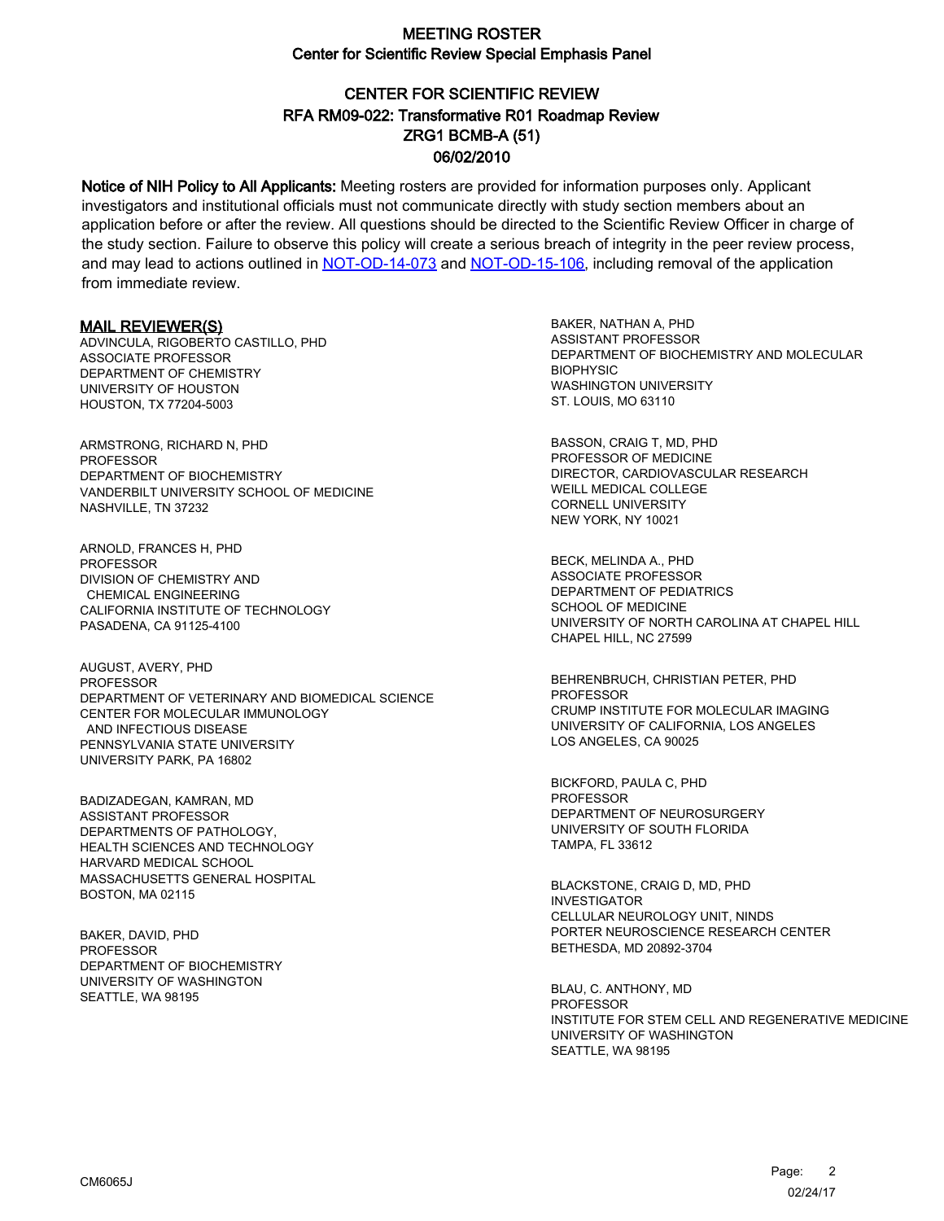# CENTER FOR SCIENTIFIC REVIEW ZRG1 BCMB-A (51) 06/02/2010 RFA RM09-022: Transformative R01 Roadmap Review

Notice of NIH Policy to All Applicants: Meeting rosters are provided for information purposes only. Applicant investigators and institutional officials must not communicate directly with study section members about an application before or after the review. All questions should be directed to the Scientific Review Officer in charge of the study section. Failure to observe this policy will create a serious breach of integrity in the peer review process, and may lead to actions outlined in [NOT-OD-14-073](https://grants.nih.gov/grants/guide/notice-files/NOT-OD-14-073.html) and [NOT-OD-15-106,](https://grants.nih.gov/grants/guide/notice-files/NOT-OD-15-106.html) including removal of the application from immediate review.

#### MAIL REVIEWER(S)

ADVINCULA, RIGOBERTO CASTILLO, PHD ASSOCIATE PROFESSOR DEPARTMENT OF CHEMISTRY UNIVERSITY OF HOUSTON HOUSTON, TX 77204-5003

ARMSTRONG, RICHARD N, PHD PROFESSOR DEPARTMENT OF BIOCHEMISTRY VANDERBILT UNIVERSITY SCHOOL OF MEDICINE NASHVILLE, TN 37232

ARNOLD, FRANCES H, PHD PROFESSOR DIVISION OF CHEMISTRY AND CHEMICAL ENGINEERING CALIFORNIA INSTITUTE OF TECHNOLOGY PASADENA, CA 91125-4100

AUGUST, AVERY, PHD PROFESSOR DEPARTMENT OF VETERINARY AND BIOMEDICAL SCIENCE CENTER FOR MOLECULAR IMMUNOLOGY AND INFECTIOUS DISEASE PENNSYLVANIA STATE UNIVERSITY UNIVERSITY PARK, PA 16802

BADIZADEGAN, KAMRAN, MD ASSISTANT PROFESSOR DEPARTMENTS OF PATHOLOGY, HEALTH SCIENCES AND TECHNOLOGY HARVARD MEDICAL SCHOOL MASSACHUSETTS GENERAL HOSPITAL BOSTON, MA 02115

BAKER, DAVID, PHD PROFESSOR DEPARTMENT OF BIOCHEMISTRY UNIVERSITY OF WASHINGTON SEATTLE, WA 98195

BAKER, NATHAN A, PHD ASSISTANT PROFESSOR DEPARTMENT OF BIOCHEMISTRY AND MOLECULAR **BIOPHYSIC** WASHINGTON UNIVERSITY ST. LOUIS, MO 63110

BASSON, CRAIG T, MD, PHD PROFESSOR OF MEDICINE DIRECTOR, CARDIOVASCULAR RESEARCH WEILL MEDICAL COLLEGE CORNELL UNIVERSITY NEW YORK, NY 10021

BECK, MELINDA A., PHD ASSOCIATE PROFESSOR DEPARTMENT OF PEDIATRICS SCHOOL OF MEDICINE UNIVERSITY OF NORTH CAROLINA AT CHAPEL HILL CHAPEL HILL, NC 27599

BEHRENBRUCH, CHRISTIAN PETER, PHD **PROFESSOR** CRUMP INSTITUTE FOR MOLECULAR IMAGING UNIVERSITY OF CALIFORNIA, LOS ANGELES LOS ANGELES, CA 90025

BICKFORD, PAULA C, PHD PROFESSOR DEPARTMENT OF NEUROSURGERY UNIVERSITY OF SOUTH FLORIDA TAMPA, FL 33612

BLACKSTONE, CRAIG D, MD, PHD INVESTIGATOR CELLULAR NEUROLOGY UNIT, NINDS PORTER NEUROSCIENCE RESEARCH CENTER BETHESDA, MD 20892-3704

BLAU, C. ANTHONY, MD **PROFESSOR** INSTITUTE FOR STEM CELL AND REGENERATIVE MEDICINE UNIVERSITY OF WASHINGTON SEATTLE, WA 98195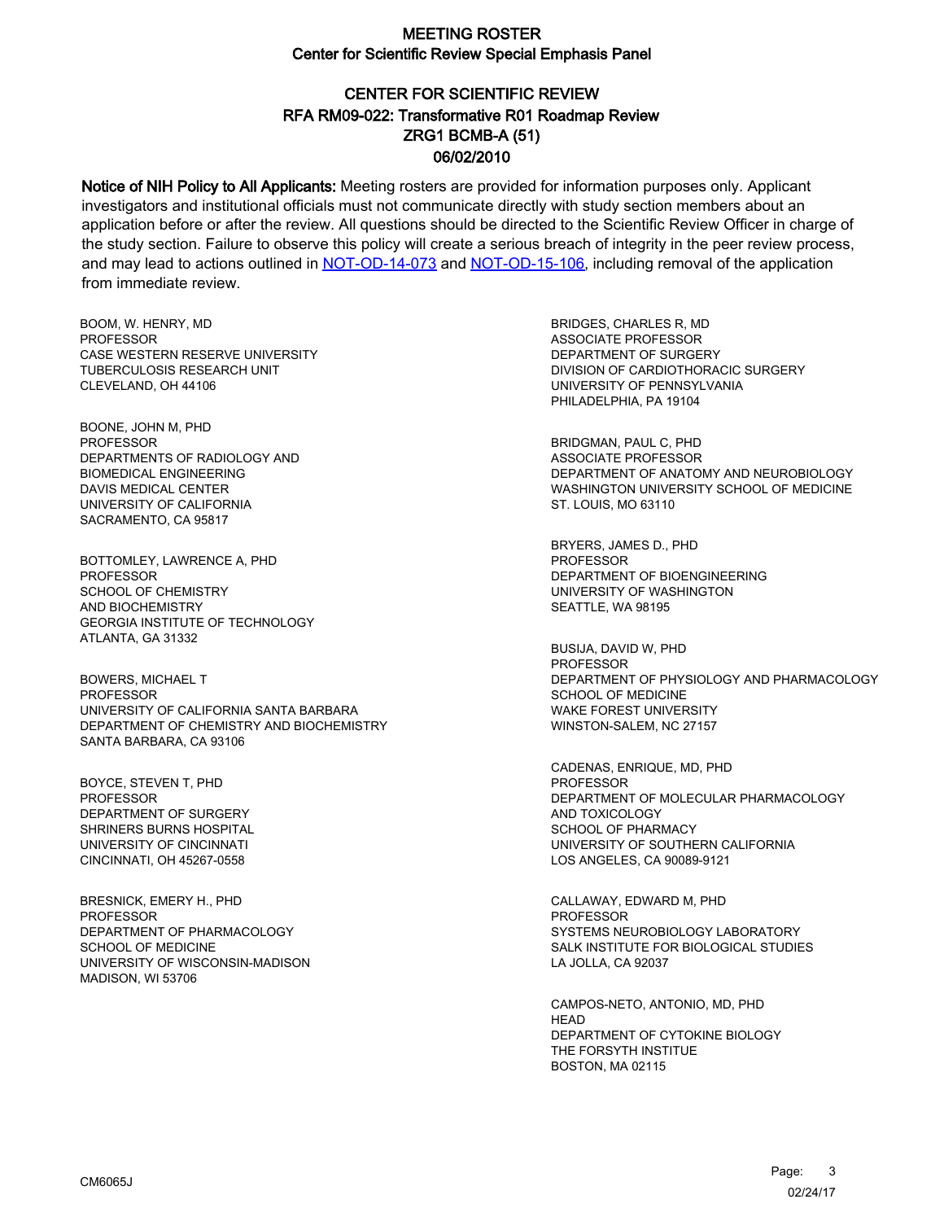# CENTER FOR SCIENTIFIC REVIEW ZRG1 BCMB-A (51) 06/02/2010 RFA RM09-022: Transformative R01 Roadmap Review

Notice of NIH Policy to All Applicants: Meeting rosters are provided for information purposes only. Applicant investigators and institutional officials must not communicate directly with study section members about an application before or after the review. All questions should be directed to the Scientific Review Officer in charge of the study section. Failure to observe this policy will create a serious breach of integrity in the peer review process, and may lead to actions outlined in [NOT-OD-14-073](https://grants.nih.gov/grants/guide/notice-files/NOT-OD-14-073.html) and [NOT-OD-15-106,](https://grants.nih.gov/grants/guide/notice-files/NOT-OD-15-106.html) including removal of the application from immediate review.

BOOM, W. HENRY, MD **PROFESSOR** CASE WESTERN RESERVE UNIVERSITY TUBERCULOSIS RESEARCH UNIT CLEVELAND, OH 44106

BOONE, JOHN M, PHD PROFESSOR DEPARTMENTS OF RADIOLOGY AND BIOMEDICAL ENGINEERING DAVIS MEDICAL CENTER UNIVERSITY OF CALIFORNIA SACRAMENTO, CA 95817

BOTTOMLEY, LAWRENCE A, PHD **PROFESSOR** SCHOOL OF CHEMISTRY AND BIOCHEMISTRY GEORGIA INSTITUTE OF TECHNOLOGY ATLANTA, GA 31332

BOWERS, MICHAEL T **PROFESSOR** UNIVERSITY OF CALIFORNIA SANTA BARBARA DEPARTMENT OF CHEMISTRY AND BIOCHEMISTRY SANTA BARBARA, CA 93106

BOYCE, STEVEN T, PHD PROFESSOR DEPARTMENT OF SURGERY SHRINERS BURNS HOSPITAL UNIVERSITY OF CINCINNATI CINCINNATI, OH 45267-0558

BRESNICK, EMERY H., PHD PROFESSOR DEPARTMENT OF PHARMACOLOGY SCHOOL OF MEDICINE UNIVERSITY OF WISCONSIN-MADISON MADISON, WI 53706

BRIDGES, CHARLES R, MD ASSOCIATE PROFESSOR DEPARTMENT OF SURGERY DIVISION OF CARDIOTHORACIC SURGERY UNIVERSITY OF PENNSYLVANIA PHILADELPHIA, PA 19104

BRIDGMAN, PAUL C, PHD ASSOCIATE PROFESSOR DEPARTMENT OF ANATOMY AND NEUROBIOLOGY WASHINGTON UNIVERSITY SCHOOL OF MEDICINE ST. LOUIS, MO 63110

BRYERS, JAMES D., PHD PROFESSOR DEPARTMENT OF BIOENGINEERING UNIVERSITY OF WASHINGTON SEATTLE, WA 98195

BUSIJA, DAVID W, PHD PROFESSOR DEPARTMENT OF PHYSIOLOGY AND PHARMACOLOGY SCHOOL OF MEDICINE WAKE FOREST UNIVERSITY WINSTON-SALEM, NC 27157

CADENAS, ENRIQUE, MD, PHD PROFESSOR DEPARTMENT OF MOLECULAR PHARMACOLOGY AND TOXICOLOGY SCHOOL OF PHARMACY UNIVERSITY OF SOUTHERN CALIFORNIA LOS ANGELES, CA 90089-9121

CALLAWAY, EDWARD M, PHD PROFESSOR SYSTEMS NEUROBIOLOGY LABORATORY SALK INSTITUTE FOR BIOLOGICAL STUDIES LA JOLLA, CA 92037

CAMPOS-NETO, ANTONIO, MD, PHD **HEAD** DEPARTMENT OF CYTOKINE BIOLOGY THE FORSYTH INSTITUE BOSTON, MA 02115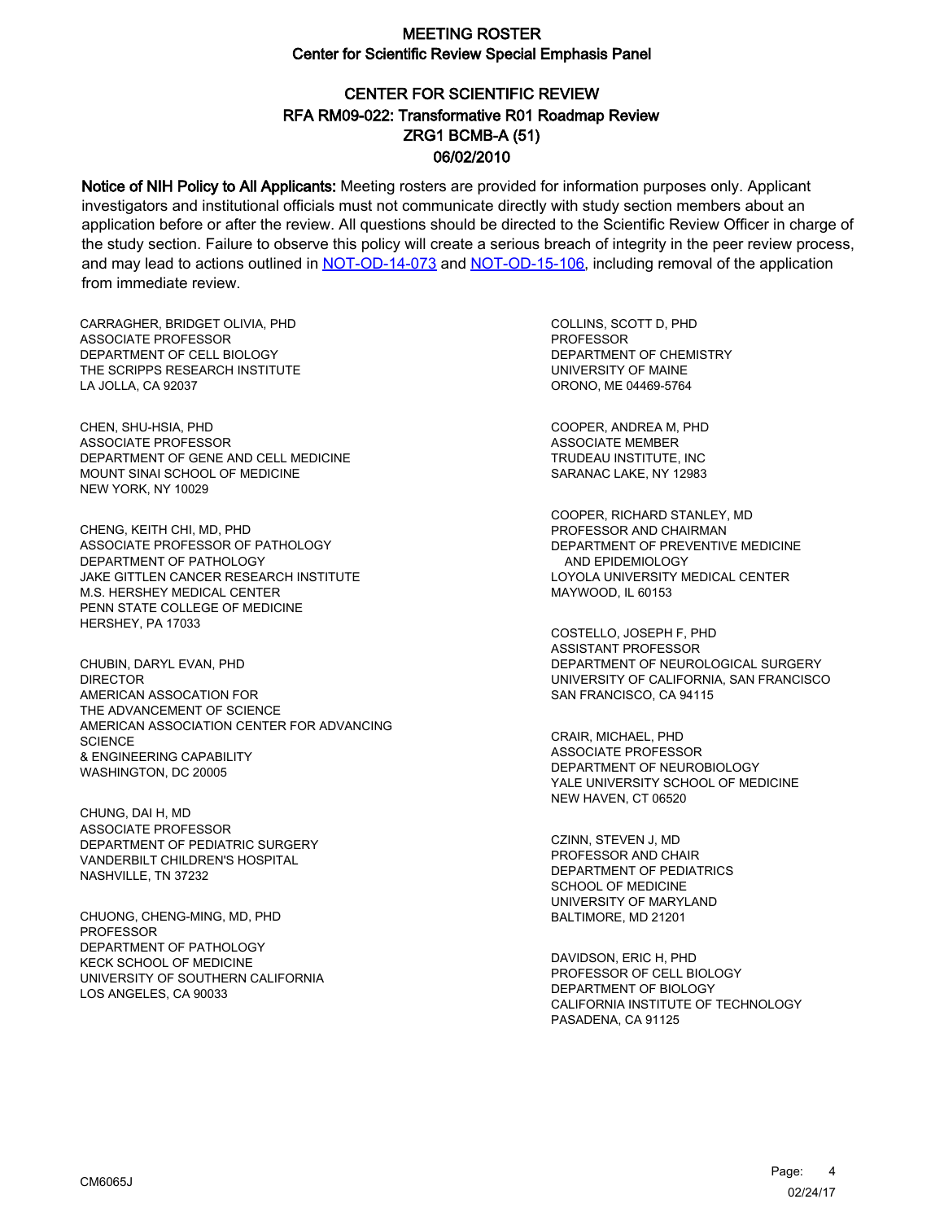# CENTER FOR SCIENTIFIC REVIEW ZRG1 BCMB-A (51) 06/02/2010 RFA RM09-022: Transformative R01 Roadmap Review

Notice of NIH Policy to All Applicants: Meeting rosters are provided for information purposes only. Applicant investigators and institutional officials must not communicate directly with study section members about an application before or after the review. All questions should be directed to the Scientific Review Officer in charge of the study section. Failure to observe this policy will create a serious breach of integrity in the peer review process, and may lead to actions outlined in [NOT-OD-14-073](https://grants.nih.gov/grants/guide/notice-files/NOT-OD-14-073.html) and [NOT-OD-15-106,](https://grants.nih.gov/grants/guide/notice-files/NOT-OD-15-106.html) including removal of the application from immediate review.

CARRAGHER, BRIDGET OLIVIA, PHD ASSOCIATE PROFESSOR DEPARTMENT OF CELL BIOLOGY THE SCRIPPS RESEARCH INSTITUTE LA JOLLA, CA 92037

CHEN, SHU-HSIA, PHD ASSOCIATE PROFESSOR DEPARTMENT OF GENE AND CELL MEDICINE MOUNT SINAI SCHOOL OF MEDICINE NEW YORK, NY 10029

CHENG, KEITH CHI, MD, PHD ASSOCIATE PROFESSOR OF PATHOLOGY DEPARTMENT OF PATHOLOGY JAKE GITTLEN CANCER RESEARCH INSTITUTE M.S. HERSHEY MEDICAL CENTER PENN STATE COLLEGE OF MEDICINE HERSHEY, PA 17033

CHUBIN, DARYL EVAN, PHD **DIRECTOR** AMERICAN ASSOCATION FOR THE ADVANCEMENT OF SCIENCE AMERICAN ASSOCIATION CENTER FOR ADVANCING **SCIENCE** & ENGINEERING CAPABILITY WASHINGTON, DC 20005

CHUNG, DAI H, MD ASSOCIATE PROFESSOR DEPARTMENT OF PEDIATRIC SURGERY VANDERBILT CHILDREN'S HOSPITAL NASHVILLE, TN 37232

CHUONG, CHENG-MING, MD, PHD PROFESSOR DEPARTMENT OF PATHOLOGY KECK SCHOOL OF MEDICINE UNIVERSITY OF SOUTHERN CALIFORNIA LOS ANGELES, CA 90033

COLLINS, SCOTT D, PHD PROFESSOR DEPARTMENT OF CHEMISTRY UNIVERSITY OF MAINE ORONO, ME 04469-5764

COOPER, ANDREA M, PHD ASSOCIATE MEMBER TRUDEAU INSTITUTE, INC SARANAC LAKE, NY 12983

COOPER, RICHARD STANLEY, MD PROFESSOR AND CHAIRMAN DEPARTMENT OF PREVENTIVE MEDICINE AND EPIDEMIOLOGY LOYOLA UNIVERSITY MEDICAL CENTER MAYWOOD, IL 60153

COSTELLO, JOSEPH F, PHD ASSISTANT PROFESSOR DEPARTMENT OF NEUROLOGICAL SURGERY UNIVERSITY OF CALIFORNIA, SAN FRANCISCO SAN FRANCISCO, CA 94115

CRAIR, MICHAEL, PHD ASSOCIATE PROFESSOR DEPARTMENT OF NEUROBIOLOGY YALE UNIVERSITY SCHOOL OF MEDICINE NEW HAVEN, CT 06520

CZINN, STEVEN J, MD PROFESSOR AND CHAIR DEPARTMENT OF PEDIATRICS SCHOOL OF MEDICINE UNIVERSITY OF MARYLAND BALTIMORE, MD 21201

DAVIDSON, ERIC H, PHD PROFESSOR OF CELL BIOLOGY DEPARTMENT OF BIOLOGY CALIFORNIA INSTITUTE OF TECHNOLOGY PASADENA, CA 91125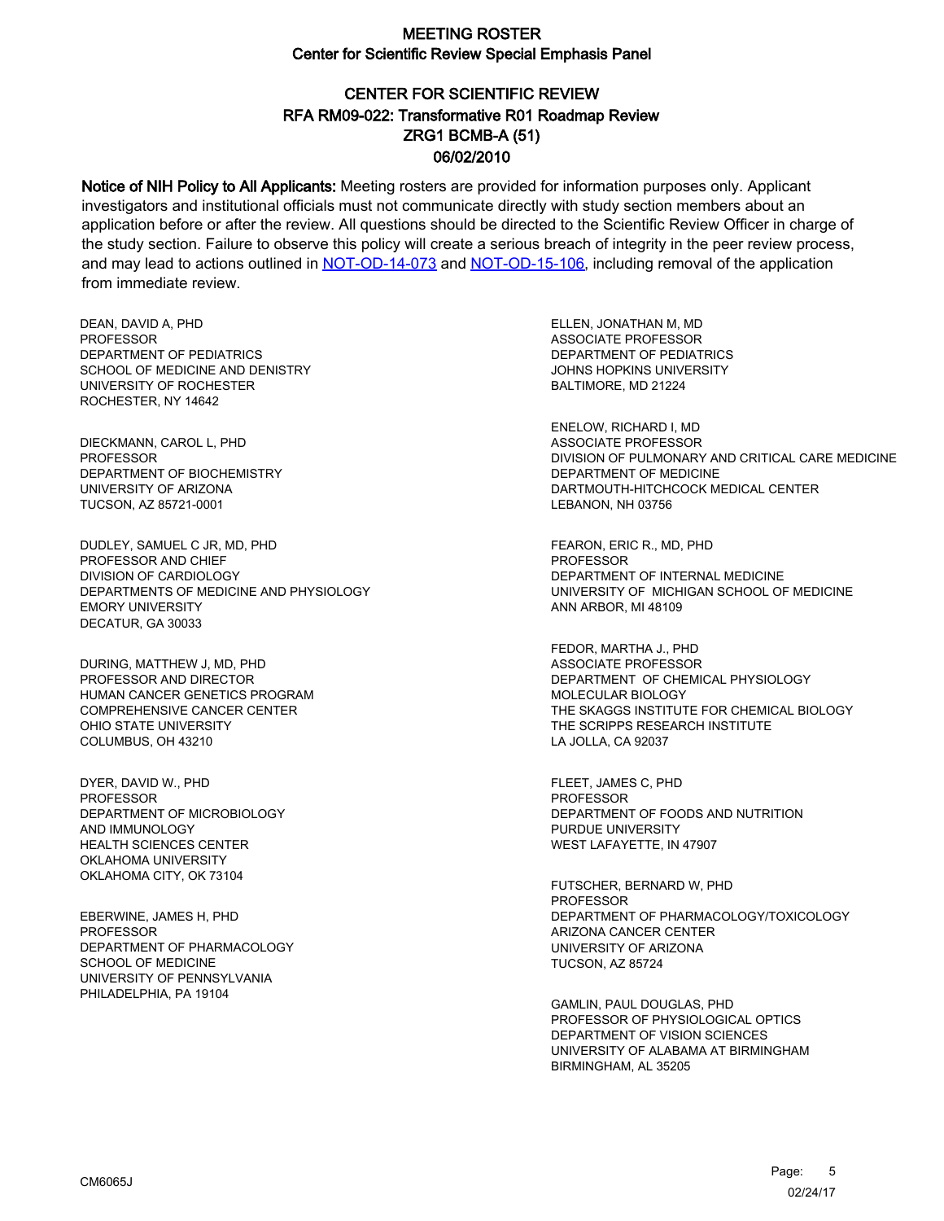# CENTER FOR SCIENTIFIC REVIEW ZRG1 BCMB-A (51) 06/02/2010 RFA RM09-022: Transformative R01 Roadmap Review

Notice of NIH Policy to All Applicants: Meeting rosters are provided for information purposes only. Applicant investigators and institutional officials must not communicate directly with study section members about an application before or after the review. All questions should be directed to the Scientific Review Officer in charge of the study section. Failure to observe this policy will create a serious breach of integrity in the peer review process, and may lead to actions outlined in [NOT-OD-14-073](https://grants.nih.gov/grants/guide/notice-files/NOT-OD-14-073.html) and [NOT-OD-15-106,](https://grants.nih.gov/grants/guide/notice-files/NOT-OD-15-106.html) including removal of the application from immediate review.

DEAN, DAVID A, PHD PROFESSOR DEPARTMENT OF PEDIATRICS SCHOOL OF MEDICINE AND DENISTRY UNIVERSITY OF ROCHESTER ROCHESTER, NY 14642

DIECKMANN, CAROL L, PHD PROFESSOR DEPARTMENT OF BIOCHEMISTRY UNIVERSITY OF ARIZONA TUCSON, AZ 85721-0001

DUDLEY, SAMUEL C JR, MD, PHD PROFESSOR AND CHIEF DIVISION OF CARDIOLOGY DEPARTMENTS OF MEDICINE AND PHYSIOLOGY EMORY UNIVERSITY DECATUR, GA 30033

DURING, MATTHEW J, MD, PHD PROFESSOR AND DIRECTOR HUMAN CANCER GENETICS PROGRAM COMPREHENSIVE CANCER CENTER OHIO STATE UNIVERSITY COLUMBUS, OH 43210

DYER, DAVID W., PHD PROFESSOR DEPARTMENT OF MICROBIOLOGY AND IMMUNOLOGY HEALTH SCIENCES CENTER OKLAHOMA UNIVERSITY OKLAHOMA CITY, OK 73104

EBERWINE, JAMES H, PHD PROFESSOR DEPARTMENT OF PHARMACOLOGY SCHOOL OF MEDICINE UNIVERSITY OF PENNSYLVANIA PHILADELPHIA, PA 19104

ELLEN, JONATHAN M, MD ASSOCIATE PROFESSOR DEPARTMENT OF PEDIATRICS JOHNS HOPKINS UNIVERSITY BALTIMORE, MD 21224

ENELOW, RICHARD I, MD ASSOCIATE PROFESSOR DIVISION OF PULMONARY AND CRITICAL CARE MEDICINE DEPARTMENT OF MEDICINE DARTMOUTH-HITCHCOCK MEDICAL CENTER LEBANON, NH 03756

FEARON, ERIC R., MD, PHD PROFESSOR DEPARTMENT OF INTERNAL MEDICINE UNIVERSITY OF MICHIGAN SCHOOL OF MEDICINE ANN ARBOR, MI 48109

FEDOR, MARTHA J., PHD ASSOCIATE PROFESSOR DEPARTMENT OF CHEMICAL PHYSIOLOGY MOLECULAR BIOLOGY THE SKAGGS INSTITUTE FOR CHEMICAL BIOLOGY THE SCRIPPS RESEARCH INSTITUTE LA JOLLA, CA 92037

FLEET, JAMES C, PHD PROFESSOR DEPARTMENT OF FOODS AND NUTRITION PURDUE UNIVERSITY WEST LAFAYETTE, IN 47907

FUTSCHER, BERNARD W, PHD **PROFESSOR** DEPARTMENT OF PHARMACOLOGY/TOXICOLOGY ARIZONA CANCER CENTER UNIVERSITY OF ARIZONA TUCSON, AZ 85724

GAMLIN, PAUL DOUGLAS, PHD PROFESSOR OF PHYSIOLOGICAL OPTICS DEPARTMENT OF VISION SCIENCES UNIVERSITY OF ALABAMA AT BIRMINGHAM BIRMINGHAM, AL 35205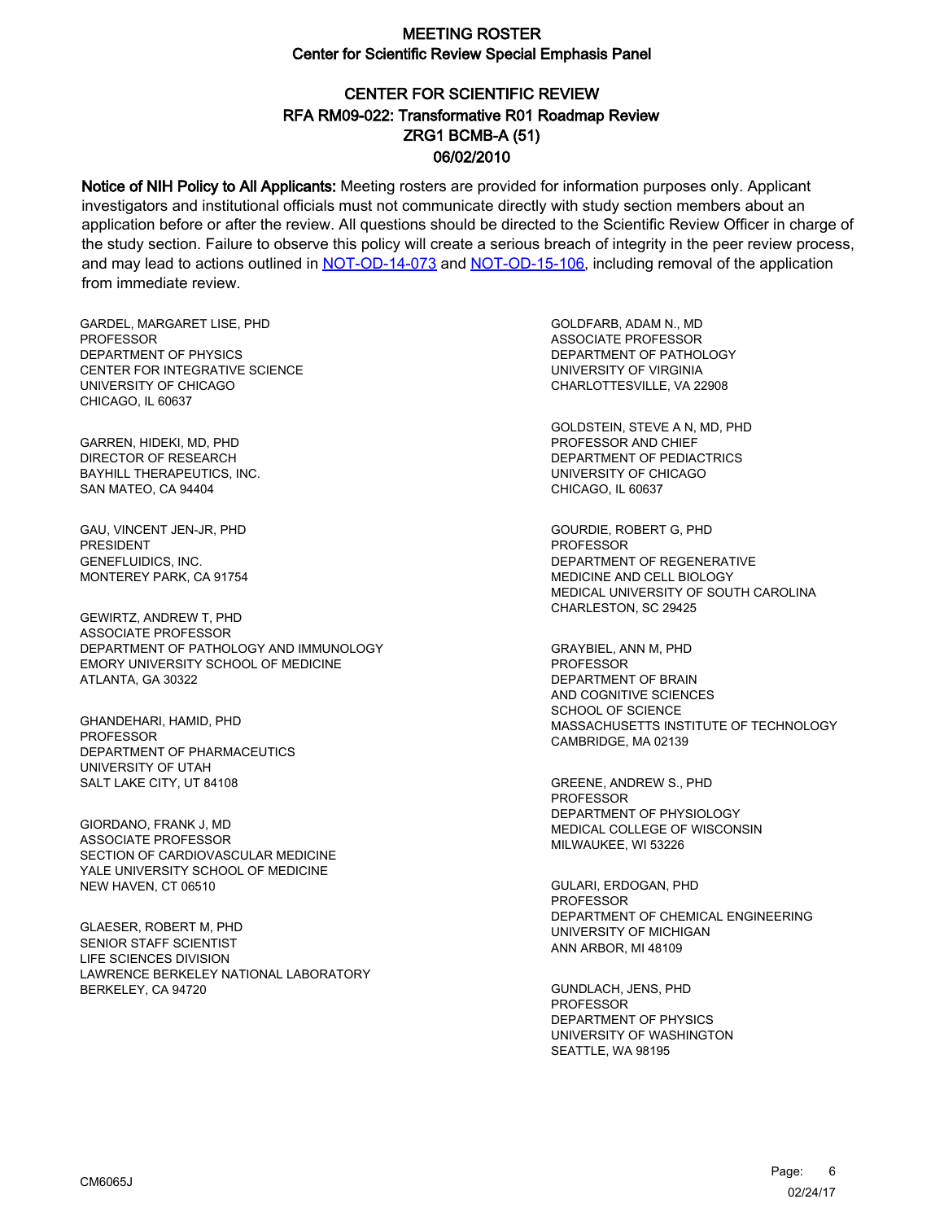# CENTER FOR SCIENTIFIC REVIEW ZRG1 BCMB-A (51) 06/02/2010 RFA RM09-022: Transformative R01 Roadmap Review

Notice of NIH Policy to All Applicants: Meeting rosters are provided for information purposes only. Applicant investigators and institutional officials must not communicate directly with study section members about an application before or after the review. All questions should be directed to the Scientific Review Officer in charge of the study section. Failure to observe this policy will create a serious breach of integrity in the peer review process, and may lead to actions outlined in [NOT-OD-14-073](https://grants.nih.gov/grants/guide/notice-files/NOT-OD-14-073.html) and [NOT-OD-15-106,](https://grants.nih.gov/grants/guide/notice-files/NOT-OD-15-106.html) including removal of the application from immediate review.

GARDEL, MARGARET LISE, PHD **PROFESSOR** DEPARTMENT OF PHYSICS CENTER FOR INTEGRATIVE SCIENCE UNIVERSITY OF CHICAGO CHICAGO, IL 60637

GARREN, HIDEKI, MD, PHD DIRECTOR OF RESEARCH BAYHILL THERAPEUTICS, INC. SAN MATEO, CA 94404

GAU, VINCENT JEN-JR, PHD PRESIDENT GENEFLUIDICS, INC. MONTEREY PARK, CA 91754

GEWIRTZ, ANDREW T, PHD ASSOCIATE PROFESSOR DEPARTMENT OF PATHOLOGY AND IMMUNOLOGY EMORY UNIVERSITY SCHOOL OF MEDICINE ATLANTA, GA 30322

GHANDEHARI, HAMID, PHD **PROFESSOR** DEPARTMENT OF PHARMACEUTICS UNIVERSITY OF UTAH SALT LAKE CITY, UT 84108

GIORDANO, FRANK J, MD ASSOCIATE PROFESSOR SECTION OF CARDIOVASCULAR MEDICINE YALE UNIVERSITY SCHOOL OF MEDICINE NEW HAVEN, CT 06510

GLAESER, ROBERT M, PHD SENIOR STAFF SCIENTIST LIFE SCIENCES DIVISION LAWRENCE BERKELEY NATIONAL LABORATORY BERKELEY, CA 94720

GOLDFARB, ADAM N., MD ASSOCIATE PROFESSOR DEPARTMENT OF PATHOLOGY UNIVERSITY OF VIRGINIA CHARLOTTESVILLE, VA 22908

GOLDSTEIN, STEVE A N, MD, PHD PROFESSOR AND CHIEF DEPARTMENT OF PEDIACTRICS UNIVERSITY OF CHICAGO CHICAGO, IL 60637

GOURDIE, ROBERT G, PHD PROFESSOR DEPARTMENT OF REGENERATIVE MEDICINE AND CELL BIOLOGY MEDICAL UNIVERSITY OF SOUTH CAROLINA CHARLESTON, SC 29425

GRAYBIEL, ANN M, PHD PROFESSOR DEPARTMENT OF BRAIN AND COGNITIVE SCIENCES SCHOOL OF SCIENCE MASSACHUSETTS INSTITUTE OF TECHNOLOGY CAMBRIDGE, MA 02139

GREENE, ANDREW S., PHD PROFESSOR DEPARTMENT OF PHYSIOLOGY MEDICAL COLLEGE OF WISCONSIN MILWAUKEE, WI 53226

GULARI, ERDOGAN, PHD **PROFESSOR** DEPARTMENT OF CHEMICAL ENGINEERING UNIVERSITY OF MICHIGAN ANN ARBOR, MI 48109

GUNDLACH, JENS, PHD PROFESSOR DEPARTMENT OF PHYSICS UNIVERSITY OF WASHINGTON SEATTLE, WA 98195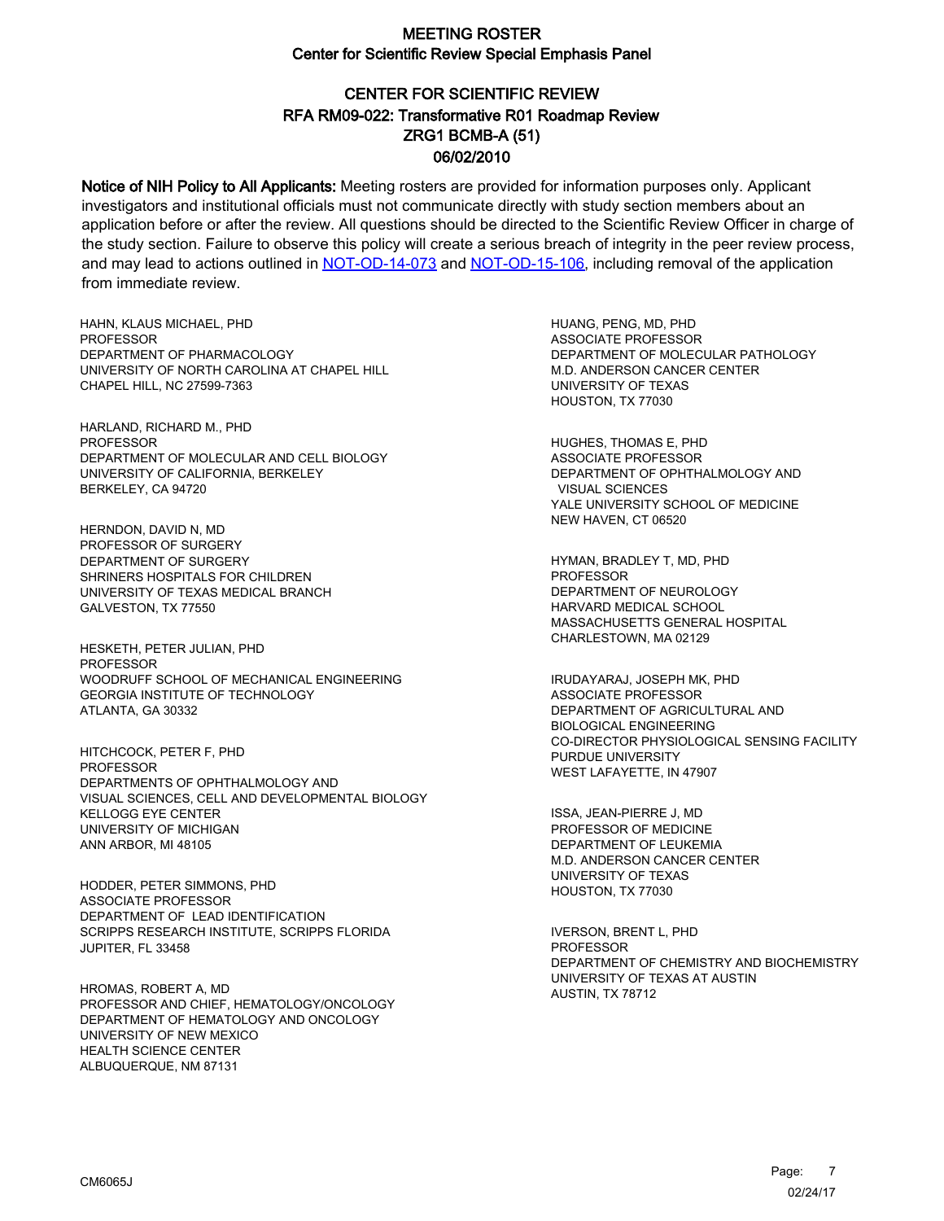# CENTER FOR SCIENTIFIC REVIEW ZRG1 BCMB-A (51) 06/02/2010 RFA RM09-022: Transformative R01 Roadmap Review

Notice of NIH Policy to All Applicants: Meeting rosters are provided for information purposes only. Applicant investigators and institutional officials must not communicate directly with study section members about an application before or after the review. All questions should be directed to the Scientific Review Officer in charge of the study section. Failure to observe this policy will create a serious breach of integrity in the peer review process, and may lead to actions outlined in [NOT-OD-14-073](https://grants.nih.gov/grants/guide/notice-files/NOT-OD-14-073.html) and [NOT-OD-15-106,](https://grants.nih.gov/grants/guide/notice-files/NOT-OD-15-106.html) including removal of the application from immediate review.

HAHN, KLAUS MICHAEL, PHD **PROFESSOR** DEPARTMENT OF PHARMACOLOGY UNIVERSITY OF NORTH CAROLINA AT CHAPEL HILL CHAPEL HILL, NC 27599-7363

HARLAND, RICHARD M., PHD PROFESSOR DEPARTMENT OF MOLECULAR AND CELL BIOLOGY UNIVERSITY OF CALIFORNIA, BERKELEY BERKELEY, CA 94720

HERNDON, DAVID N, MD PROFESSOR OF SURGERY DEPARTMENT OF SURGERY SHRINERS HOSPITALS FOR CHILDREN UNIVERSITY OF TEXAS MEDICAL BRANCH GALVESTON, TX 77550

HESKETH, PETER JULIAN, PHD PROFESSOR WOODRUFF SCHOOL OF MECHANICAL ENGINEERING GEORGIA INSTITUTE OF TECHNOLOGY ATLANTA, GA 30332

HITCHCOCK, PETER F, PHD PROFESSOR DEPARTMENTS OF OPHTHALMOLOGY AND VISUAL SCIENCES, CELL AND DEVELOPMENTAL BIOLOGY KELLOGG EYE CENTER UNIVERSITY OF MICHIGAN ANN ARBOR, MI 48105

HODDER, PETER SIMMONS, PHD ASSOCIATE PROFESSOR DEPARTMENT OF LEAD IDENTIFICATION SCRIPPS RESEARCH INSTITUTE, SCRIPPS FLORIDA JUPITER, FL 33458

HROMAS, ROBERT A, MD PROFESSOR AND CHIEF, HEMATOLOGY/ONCOLOGY DEPARTMENT OF HEMATOLOGY AND ONCOLOGY UNIVERSITY OF NEW MEXICO HEALTH SCIENCE CENTER ALBUQUERQUE, NM 87131

HUANG, PENG, MD, PHD ASSOCIATE PROFESSOR DEPARTMENT OF MOLECULAR PATHOLOGY M.D. ANDERSON CANCER CENTER UNIVERSITY OF TEXAS HOUSTON, TX 77030

HUGHES, THOMAS E, PHD ASSOCIATE PROFESSOR DEPARTMENT OF OPHTHALMOLOGY AND VISUAL SCIENCES YALE UNIVERSITY SCHOOL OF MEDICINE NEW HAVEN, CT 06520

HYMAN, BRADLEY T, MD, PHD **PROFESSOR** DEPARTMENT OF NEUROLOGY HARVARD MEDICAL SCHOOL MASSACHUSETTS GENERAL HOSPITAL CHARLESTOWN, MA 02129

IRUDAYARAJ, JOSEPH MK, PHD ASSOCIATE PROFESSOR DEPARTMENT OF AGRICULTURAL AND BIOLOGICAL ENGINEERING CO-DIRECTOR PHYSIOLOGICAL SENSING FACILITY PURDUE UNIVERSITY WEST LAFAYETTE, IN 47907

ISSA, JEAN-PIERRE J, MD PROFESSOR OF MEDICINE DEPARTMENT OF LEUKEMIA M.D. ANDERSON CANCER CENTER UNIVERSITY OF TEXAS HOUSTON, TX 77030

IVERSON, BRENT L, PHD PROFESSOR DEPARTMENT OF CHEMISTRY AND BIOCHEMISTRY UNIVERSITY OF TEXAS AT AUSTIN AUSTIN, TX 78712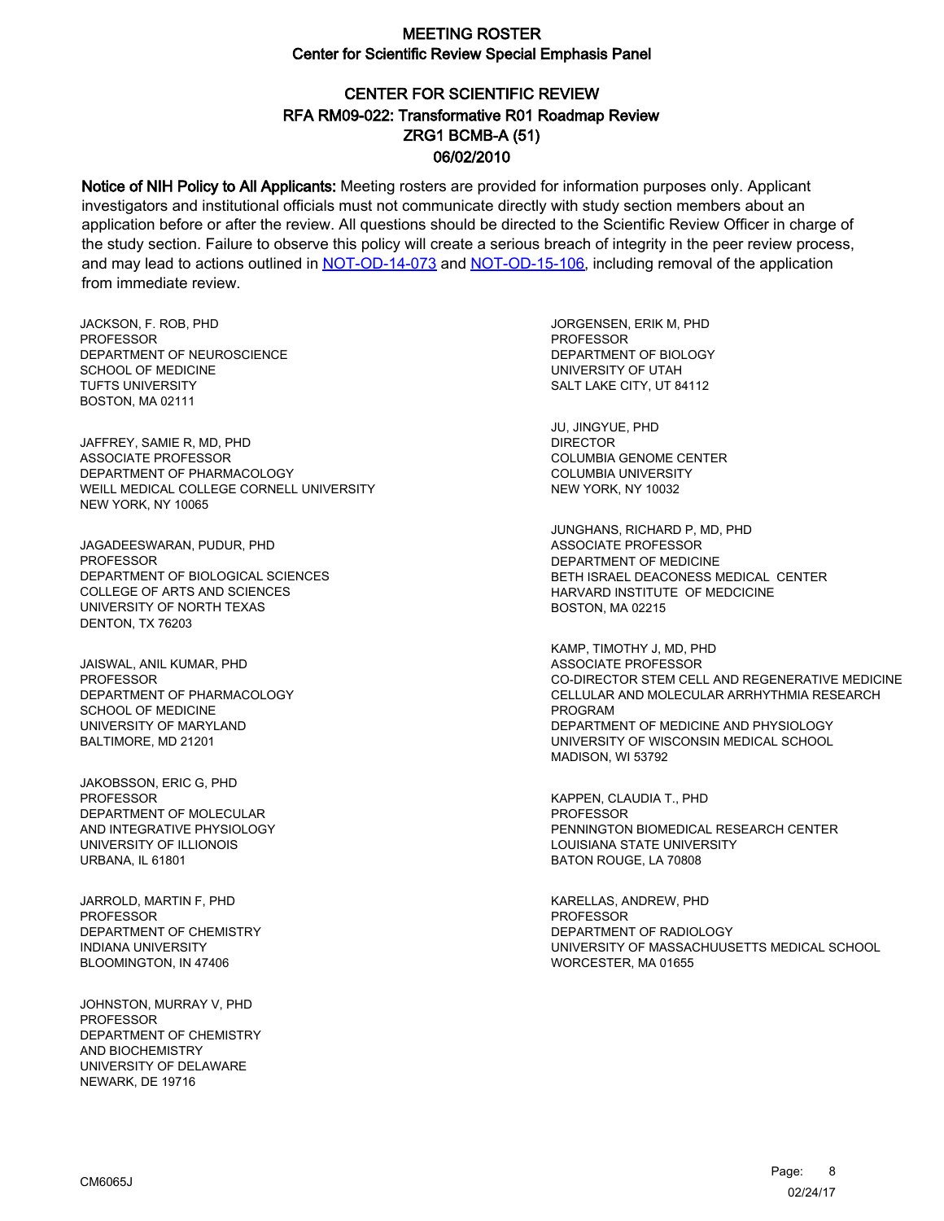# CENTER FOR SCIENTIFIC REVIEW ZRG1 BCMB-A (51) 06/02/2010 RFA RM09-022: Transformative R01 Roadmap Review

Notice of NIH Policy to All Applicants: Meeting rosters are provided for information purposes only. Applicant investigators and institutional officials must not communicate directly with study section members about an application before or after the review. All questions should be directed to the Scientific Review Officer in charge of the study section. Failure to observe this policy will create a serious breach of integrity in the peer review process, and may lead to actions outlined in [NOT-OD-14-073](https://grants.nih.gov/grants/guide/notice-files/NOT-OD-14-073.html) and [NOT-OD-15-106,](https://grants.nih.gov/grants/guide/notice-files/NOT-OD-15-106.html) including removal of the application from immediate review.

JACKSON, F. ROB, PHD PROFESSOR DEPARTMENT OF NEUROSCIENCE SCHOOL OF MEDICINE TUFTS UNIVERSITY BOSTON, MA 02111

JAFFREY, SAMIE R, MD, PHD ASSOCIATE PROFESSOR DEPARTMENT OF PHARMACOLOGY WEILL MEDICAL COLLEGE CORNELL UNIVERSITY NEW YORK, NY 10065

JAGADEESWARAN, PUDUR, PHD PROFESSOR DEPARTMENT OF BIOLOGICAL SCIENCES COLLEGE OF ARTS AND SCIENCES UNIVERSITY OF NORTH TEXAS DENTON, TX 76203

JAISWAL, ANIL KUMAR, PHD PROFESSOR DEPARTMENT OF PHARMACOLOGY SCHOOL OF MEDICINE UNIVERSITY OF MARYLAND BALTIMORE, MD 21201

JAKOBSSON, ERIC G, PHD PROFESSOR DEPARTMENT OF MOLECULAR AND INTEGRATIVE PHYSIOLOGY UNIVERSITY OF ILLIONOIS URBANA, IL 61801

JARROLD, MARTIN F, PHD PROFESSOR DEPARTMENT OF CHEMISTRY INDIANA UNIVERSITY BLOOMINGTON, IN 47406

JOHNSTON, MURRAY V, PHD PROFESSOR DEPARTMENT OF CHEMISTRY AND BIOCHEMISTRY UNIVERSITY OF DELAWARE NEWARK, DE 19716

JORGENSEN, ERIK M, PHD **PROFESSOR** DEPARTMENT OF BIOLOGY UNIVERSITY OF UTAH SALT LAKE CITY, UT 84112

JU, JINGYUE, PHD DIRECTOR COLUMBIA GENOME CENTER COLUMBIA UNIVERSITY NEW YORK, NY 10032

JUNGHANS, RICHARD P, MD, PHD ASSOCIATE PROFESSOR DEPARTMENT OF MEDICINE BETH ISRAEL DEACONESS MEDICAL CENTER HARVARD INSTITUTE OF MEDCICINE BOSTON, MA 02215

KAMP, TIMOTHY J, MD, PHD ASSOCIATE PROFESSOR CO-DIRECTOR STEM CELL AND REGENERATIVE MEDICINE CELLULAR AND MOLECULAR ARRHYTHMIA RESEARCH PROGRAM DEPARTMENT OF MEDICINE AND PHYSIOLOGY UNIVERSITY OF WISCONSIN MEDICAL SCHOOL MADISON, WI 53792

KAPPEN, CLAUDIA T., PHD PROFESSOR PENNINGTON BIOMEDICAL RESEARCH CENTER LOUISIANA STATE UNIVERSITY BATON ROUGE, LA 70808

KARELLAS, ANDREW, PHD PROFESSOR DEPARTMENT OF RADIOLOGY UNIVERSITY OF MASSACHUUSETTS MEDICAL SCHOOL WORCESTER, MA 01655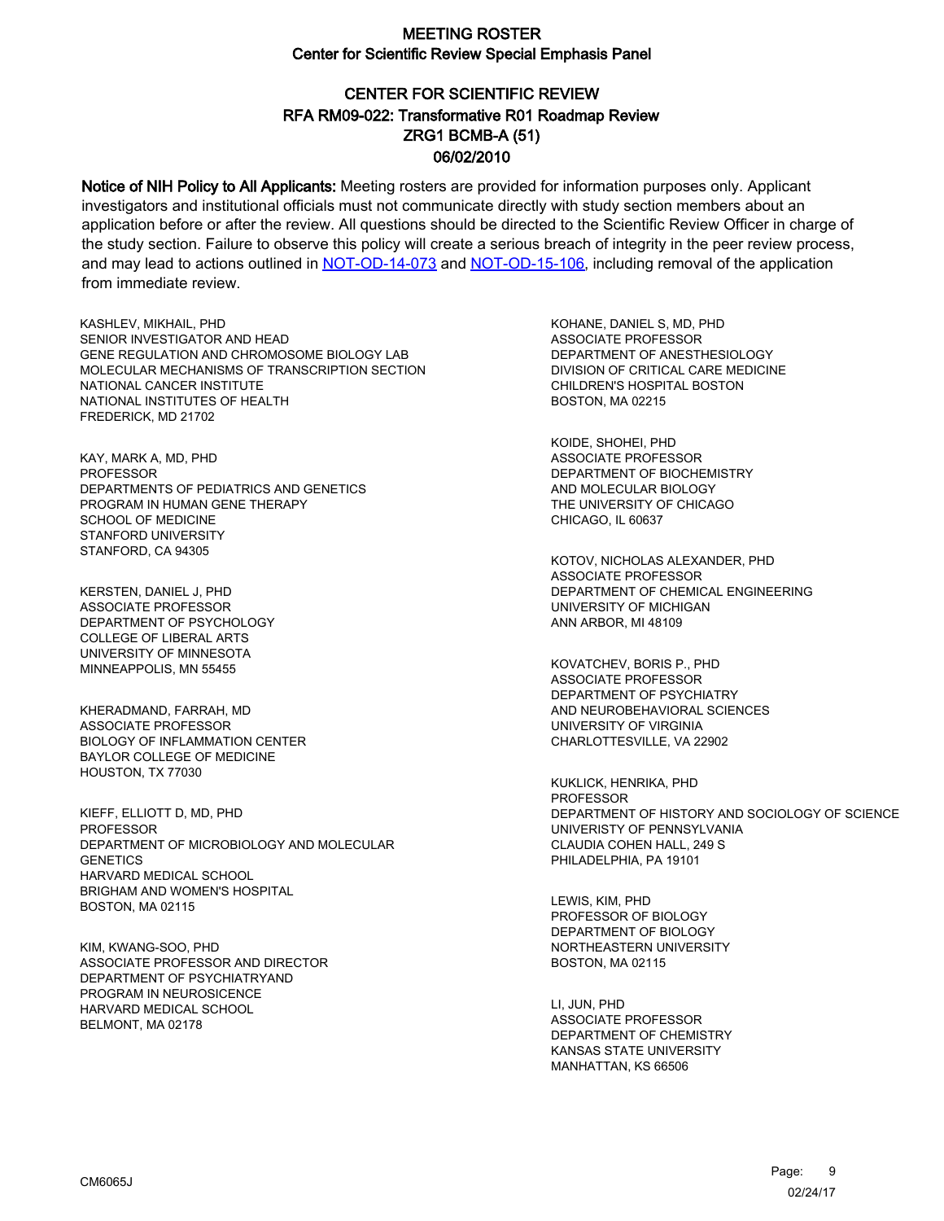# CENTER FOR SCIENTIFIC REVIEW ZRG1 BCMB-A (51) 06/02/2010 RFA RM09-022: Transformative R01 Roadmap Review

Notice of NIH Policy to All Applicants: Meeting rosters are provided for information purposes only. Applicant investigators and institutional officials must not communicate directly with study section members about an application before or after the review. All questions should be directed to the Scientific Review Officer in charge of the study section. Failure to observe this policy will create a serious breach of integrity in the peer review process, and may lead to actions outlined in [NOT-OD-14-073](https://grants.nih.gov/grants/guide/notice-files/NOT-OD-14-073.html) and [NOT-OD-15-106,](https://grants.nih.gov/grants/guide/notice-files/NOT-OD-15-106.html) including removal of the application from immediate review.

KASHLEV, MIKHAIL, PHD SENIOR INVESTIGATOR AND HEAD GENE REGULATION AND CHROMOSOME BIOLOGY LAB MOLECULAR MECHANISMS OF TRANSCRIPTION SECTION NATIONAL CANCER INSTITUTE NATIONAL INSTITUTES OF HEALTH FREDERICK, MD 21702

KAY, MARK A, MD, PHD PROFESSOR DEPARTMENTS OF PEDIATRICS AND GENETICS PROGRAM IN HUMAN GENE THERAPY SCHOOL OF MEDICINE STANFORD UNIVERSITY STANFORD, CA 94305

KERSTEN, DANIEL J, PHD ASSOCIATE PROFESSOR DEPARTMENT OF PSYCHOLOGY COLLEGE OF LIBERAL ARTS UNIVERSITY OF MINNESOTA MINNEAPPOLIS, MN 55455

KHERADMAND, FARRAH, MD ASSOCIATE PROFESSOR BIOLOGY OF INFLAMMATION CENTER BAYLOR COLLEGE OF MEDICINE HOUSTON, TX 77030

KIEFF, ELLIOTT D, MD, PHD PROFESSOR DEPARTMENT OF MICROBIOLOGY AND MOLECULAR **GENETICS** HARVARD MEDICAL SCHOOL BRIGHAM AND WOMEN'S HOSPITAL BOSTON, MA 02115

KIM, KWANG-SOO, PHD ASSOCIATE PROFESSOR AND DIRECTOR DEPARTMENT OF PSYCHIATRYAND PROGRAM IN NEUROSICENCE HARVARD MEDICAL SCHOOL BELMONT, MA 02178

KOHANE, DANIEL S, MD, PHD ASSOCIATE PROFESSOR DEPARTMENT OF ANESTHESIOLOGY DIVISION OF CRITICAL CARE MEDICINE CHILDREN'S HOSPITAL BOSTON BOSTON, MA 02215

KOIDE, SHOHEI, PHD ASSOCIATE PROFESSOR DEPARTMENT OF BIOCHEMISTRY AND MOLECULAR BIOLOGY THE UNIVERSITY OF CHICAGO CHICAGO, IL 60637

KOTOV, NICHOLAS ALEXANDER, PHD ASSOCIATE PROFESSOR DEPARTMENT OF CHEMICAL ENGINEERING UNIVERSITY OF MICHIGAN ANN ARBOR, MI 48109

KOVATCHEV, BORIS P., PHD ASSOCIATE PROFESSOR DEPARTMENT OF PSYCHIATRY AND NEUROBEHAVIORAL SCIENCES UNIVERSITY OF VIRGINIA CHARLOTTESVILLE, VA 22902

KUKLICK, HENRIKA, PHD PROFESSOR DEPARTMENT OF HISTORY AND SOCIOLOGY OF SCIENCE UNIVERISTY OF PENNSYLVANIA CLAUDIA COHEN HALL, 249 S PHILADELPHIA, PA 19101

LEWIS, KIM, PHD PROFESSOR OF BIOLOGY DEPARTMENT OF BIOLOGY NORTHEASTERN UNIVERSITY BOSTON, MA 02115

LI, JUN, PHD ASSOCIATE PROFESSOR DEPARTMENT OF CHEMISTRY KANSAS STATE UNIVERSITY MANHATTAN, KS 66506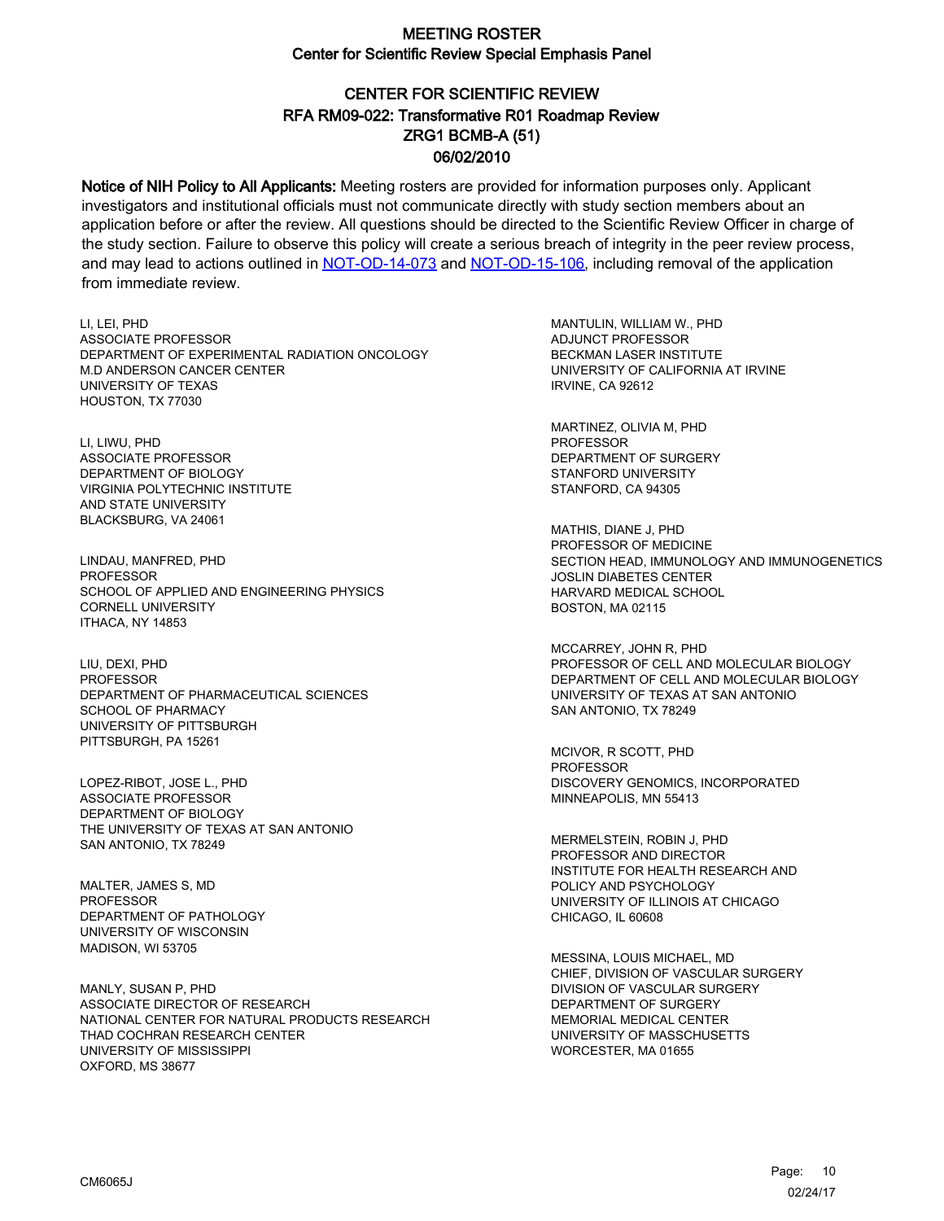# CENTER FOR SCIENTIFIC REVIEW ZRG1 BCMB-A (51) 06/02/2010 RFA RM09-022: Transformative R01 Roadmap Review

Notice of NIH Policy to All Applicants: Meeting rosters are provided for information purposes only. Applicant investigators and institutional officials must not communicate directly with study section members about an application before or after the review. All questions should be directed to the Scientific Review Officer in charge of the study section. Failure to observe this policy will create a serious breach of integrity in the peer review process, and may lead to actions outlined in [NOT-OD-14-073](https://grants.nih.gov/grants/guide/notice-files/NOT-OD-14-073.html) and [NOT-OD-15-106,](https://grants.nih.gov/grants/guide/notice-files/NOT-OD-15-106.html) including removal of the application from immediate review.

LI, LEI, PHD ASSOCIATE PROFESSOR DEPARTMENT OF EXPERIMENTAL RADIATION ONCOLOGY M.D ANDERSON CANCER CENTER UNIVERSITY OF TEXAS HOUSTON, TX 77030

LI, LIWU, PHD ASSOCIATE PROFESSOR DEPARTMENT OF BIOLOGY VIRGINIA POLYTECHNIC INSTITUTE AND STATE UNIVERSITY BLACKSBURG, VA 24061

LINDAU, MANFRED, PHD **PROFESSOR** SCHOOL OF APPLIED AND ENGINEERING PHYSICS CORNELL UNIVERSITY ITHACA, NY 14853

LIU, DEXI, PHD PROFESSOR DEPARTMENT OF PHARMACEUTICAL SCIENCES SCHOOL OF PHARMACY UNIVERSITY OF PITTSBURGH PITTSBURGH, PA 15261

LOPEZ-RIBOT, JOSE L., PHD ASSOCIATE PROFESSOR DEPARTMENT OF BIOLOGY THE UNIVERSITY OF TEXAS AT SAN ANTONIO SAN ANTONIO, TX 78249

MALTER, JAMES S, MD **PROFESSOR** DEPARTMENT OF PATHOLOGY UNIVERSITY OF WISCONSIN MADISON, WI 53705

MANLY, SUSAN P, PHD ASSOCIATE DIRECTOR OF RESEARCH NATIONAL CENTER FOR NATURAL PRODUCTS RESEARCH THAD COCHRAN RESEARCH CENTER UNIVERSITY OF MISSISSIPPI OXFORD, MS 38677

MANTULIN, WILLIAM W., PHD ADJUNCT PROFESSOR BECKMAN LASER INSTITUTE UNIVERSITY OF CALIFORNIA AT IRVINE IRVINE, CA 92612

MARTINEZ, OLIVIA M, PHD PROFESSOR DEPARTMENT OF SURGERY STANFORD UNIVERSITY STANFORD, CA 94305

MATHIS, DIANE J, PHD PROFESSOR OF MEDICINE SECTION HEAD, IMMUNOLOGY AND IMMUNOGENETICS JOSLIN DIABETES CENTER HARVARD MEDICAL SCHOOL BOSTON, MA 02115

MCCARREY, JOHN R, PHD PROFESSOR OF CELL AND MOLECULAR BIOLOGY DEPARTMENT OF CELL AND MOLECULAR BIOLOGY UNIVERSITY OF TEXAS AT SAN ANTONIO SAN ANTONIO, TX 78249

MCIVOR, R SCOTT, PHD PROFESSOR DISCOVERY GENOMICS, INCORPORATED MINNEAPOLIS, MN 55413

MERMELSTEIN, ROBIN J, PHD PROFESSOR AND DIRECTOR INSTITUTE FOR HEALTH RESEARCH AND POLICY AND PSYCHOLOGY UNIVERSITY OF ILLINOIS AT CHICAGO CHICAGO, IL 60608

MESSINA, LOUIS MICHAEL, MD CHIEF, DIVISION OF VASCULAR SURGERY DIVISION OF VASCULAR SURGERY DEPARTMENT OF SURGERY MEMORIAL MEDICAL CENTER UNIVERSITY OF MASSCHUSETTS WORCESTER, MA 01655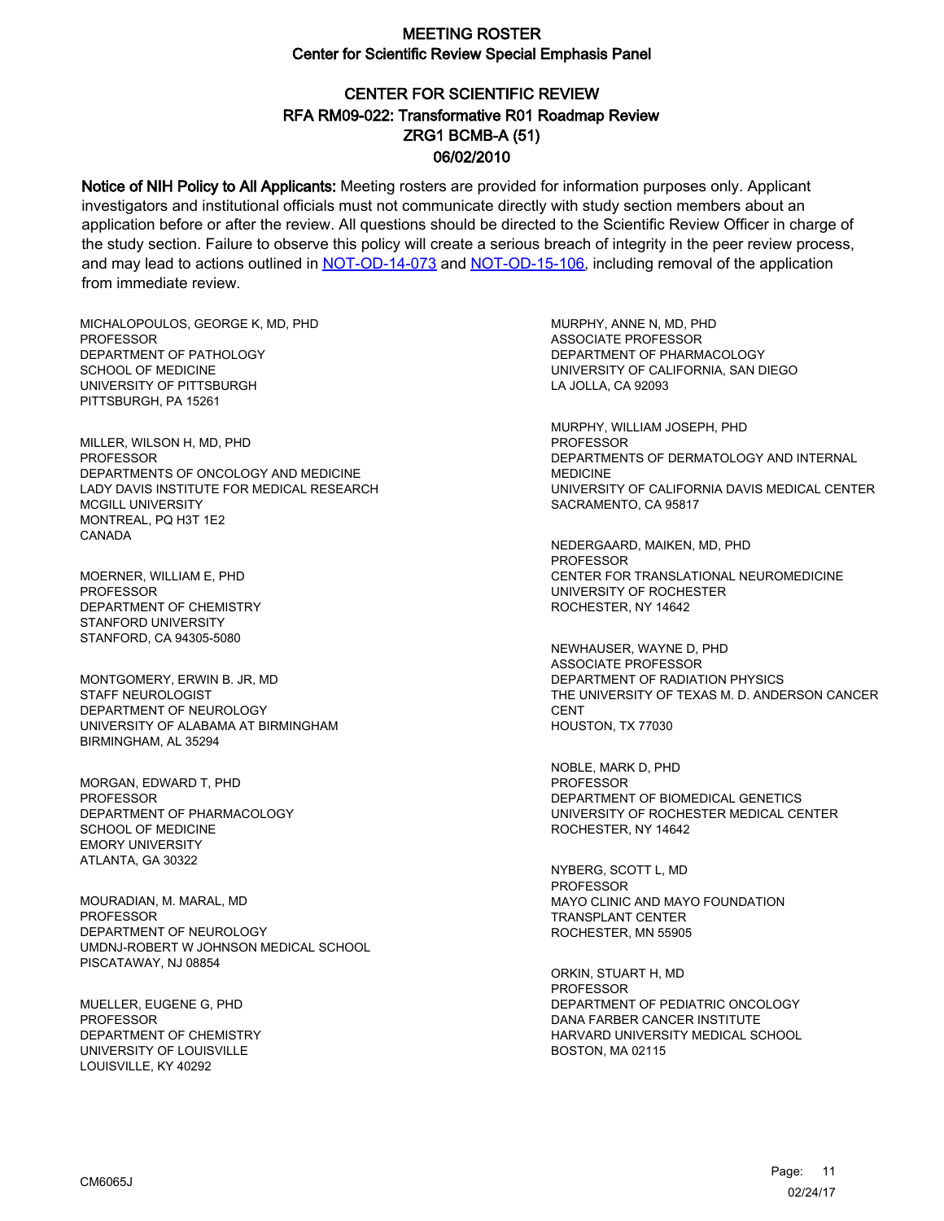# CENTER FOR SCIENTIFIC REVIEW ZRG1 BCMB-A (51) 06/02/2010 RFA RM09-022: Transformative R01 Roadmap Review

Notice of NIH Policy to All Applicants: Meeting rosters are provided for information purposes only. Applicant investigators and institutional officials must not communicate directly with study section members about an application before or after the review. All questions should be directed to the Scientific Review Officer in charge of the study section. Failure to observe this policy will create a serious breach of integrity in the peer review process, and may lead to actions outlined in [NOT-OD-14-073](https://grants.nih.gov/grants/guide/notice-files/NOT-OD-14-073.html) and [NOT-OD-15-106,](https://grants.nih.gov/grants/guide/notice-files/NOT-OD-15-106.html) including removal of the application from immediate review.

MICHALOPOULOS, GEORGE K, MD, PHD **PROFESSOR** DEPARTMENT OF PATHOLOGY SCHOOL OF MEDICINE UNIVERSITY OF PITTSBURGH PITTSBURGH, PA 15261

MILLER, WILSON H, MD, PHD PROFESSOR DEPARTMENTS OF ONCOLOGY AND MEDICINE LADY DAVIS INSTITUTE FOR MEDICAL RESEARCH MCGILL UNIVERSITY MONTREAL, PQ H3T 1E2 CANADA

MOERNER, WILLIAM E, PHD **PROFESSOR** DEPARTMENT OF CHEMISTRY STANFORD UNIVERSITY STANFORD, CA 94305-5080

MONTGOMERY, ERWIN B. JR, MD STAFF NEUROLOGIST DEPARTMENT OF NEUROLOGY UNIVERSITY OF ALABAMA AT BIRMINGHAM BIRMINGHAM, AL 35294

MORGAN, EDWARD T, PHD PROFESSOR DEPARTMENT OF PHARMACOLOGY SCHOOL OF MEDICINE EMORY UNIVERSITY ATLANTA, GA 30322

MOURADIAN, M. MARAL, MD PROFESSOR DEPARTMENT OF NEUROLOGY UMDNJ-ROBERT W JOHNSON MEDICAL SCHOOL PISCATAWAY, NJ 08854

MUELLER, EUGENE G, PHD PROFESSOR DEPARTMENT OF CHEMISTRY UNIVERSITY OF LOUISVILLE LOUISVILLE, KY 40292

MURPHY, ANNE N, MD, PHD ASSOCIATE PROFESSOR DEPARTMENT OF PHARMACOLOGY UNIVERSITY OF CALIFORNIA, SAN DIEGO LA JOLLA, CA 92093

MURPHY, WILLIAM JOSEPH, PHD PROFESSOR DEPARTMENTS OF DERMATOLOGY AND INTERNAL MEDICINE UNIVERSITY OF CALIFORNIA DAVIS MEDICAL CENTER SACRAMENTO, CA 95817

NEDERGAARD, MAIKEN, MD, PHD PROFESSOR CENTER FOR TRANSLATIONAL NEUROMEDICINE UNIVERSITY OF ROCHESTER ROCHESTER, NY 14642

NEWHAUSER, WAYNE D, PHD ASSOCIATE PROFESSOR DEPARTMENT OF RADIATION PHYSICS THE UNIVERSITY OF TEXAS M. D. ANDERSON CANCER **CENT** HOUSTON, TX 77030

NOBLE, MARK D, PHD PROFESSOR DEPARTMENT OF BIOMEDICAL GENETICS UNIVERSITY OF ROCHESTER MEDICAL CENTER ROCHESTER, NY 14642

NYBERG, SCOTT L, MD PROFESSOR MAYO CLINIC AND MAYO FOUNDATION TRANSPLANT CENTER ROCHESTER, MN 55905

ORKIN, STUART H, MD PROFESSOR DEPARTMENT OF PEDIATRIC ONCOLOGY DANA FARBER CANCER INSTITUTE HARVARD UNIVERSITY MEDICAL SCHOOL BOSTON, MA 02115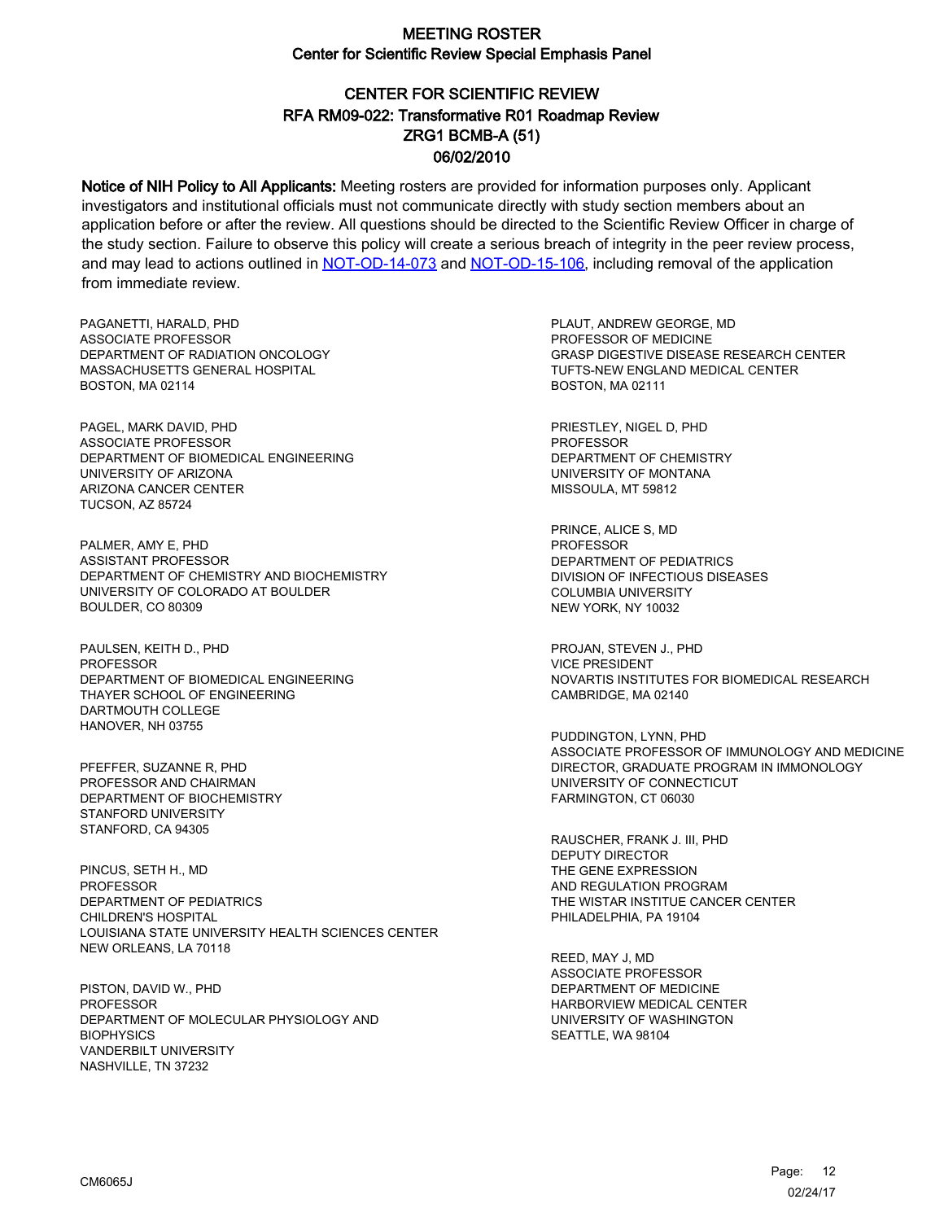# CENTER FOR SCIENTIFIC REVIEW ZRG1 BCMB-A (51) 06/02/2010 RFA RM09-022: Transformative R01 Roadmap Review

Notice of NIH Policy to All Applicants: Meeting rosters are provided for information purposes only. Applicant investigators and institutional officials must not communicate directly with study section members about an application before or after the review. All questions should be directed to the Scientific Review Officer in charge of the study section. Failure to observe this policy will create a serious breach of integrity in the peer review process, and may lead to actions outlined in [NOT-OD-14-073](https://grants.nih.gov/grants/guide/notice-files/NOT-OD-14-073.html) and [NOT-OD-15-106,](https://grants.nih.gov/grants/guide/notice-files/NOT-OD-15-106.html) including removal of the application from immediate review.

PAGANETTI, HARALD, PHD ASSOCIATE PROFESSOR DEPARTMENT OF RADIATION ONCOLOGY MASSACHUSETTS GENERAL HOSPITAL BOSTON, MA 02114

PAGEL, MARK DAVID, PHD ASSOCIATE PROFESSOR DEPARTMENT OF BIOMEDICAL ENGINEERING UNIVERSITY OF ARIZONA ARIZONA CANCER CENTER TUCSON, AZ 85724

PALMER, AMY E, PHD ASSISTANT PROFESSOR DEPARTMENT OF CHEMISTRY AND BIOCHEMISTRY UNIVERSITY OF COLORADO AT BOULDER BOULDER, CO 80309

PAULSEN, KEITH D., PHD PROFESSOR DEPARTMENT OF BIOMEDICAL ENGINEERING THAYER SCHOOL OF ENGINEERING DARTMOUTH COLLEGE HANOVER, NH 03755

PFEFFER, SUZANNE R, PHD PROFESSOR AND CHAIRMAN DEPARTMENT OF BIOCHEMISTRY STANFORD UNIVERSITY STANFORD, CA 94305

PINCUS, SETH H., MD PROFESSOR DEPARTMENT OF PEDIATRICS CHILDREN'S HOSPITAL LOUISIANA STATE UNIVERSITY HEALTH SCIENCES CENTER NEW ORLEANS, LA 70118

PISTON, DAVID W., PHD **PROFESSOR** DEPARTMENT OF MOLECULAR PHYSIOLOGY AND **BIOPHYSICS** VANDERBILT UNIVERSITY NASHVILLE, TN 37232

PLAUT, ANDREW GEORGE, MD PROFESSOR OF MEDICINE GRASP DIGESTIVE DISEASE RESEARCH CENTER TUFTS-NEW ENGLAND MEDICAL CENTER BOSTON, MA 02111

PRIESTLEY, NIGEL D, PHD PROFESSOR DEPARTMENT OF CHEMISTRY UNIVERSITY OF MONTANA MISSOULA, MT 59812

PRINCE, ALICE S, MD **PROFESSOR** DEPARTMENT OF PEDIATRICS DIVISION OF INFECTIOUS DISEASES COLUMBIA UNIVERSITY NEW YORK, NY 10032

PROJAN, STEVEN J., PHD VICE PRESIDENT NOVARTIS INSTITUTES FOR BIOMEDICAL RESEARCH CAMBRIDGE, MA 02140

PUDDINGTON, LYNN, PHD ASSOCIATE PROFESSOR OF IMMUNOLOGY AND MEDICINE DIRECTOR, GRADUATE PROGRAM IN IMMONOLOGY UNIVERSITY OF CONNECTICUT FARMINGTON, CT 06030

RAUSCHER, FRANK J. III, PHD DEPUTY DIRECTOR THE GENE EXPRESSION AND REGULATION PROGRAM THE WISTAR INSTITUE CANCER CENTER PHILADELPHIA, PA 19104

REED, MAY J, MD ASSOCIATE PROFESSOR DEPARTMENT OF MEDICINE HARBORVIEW MEDICAL CENTER UNIVERSITY OF WASHINGTON SEATTLE, WA 98104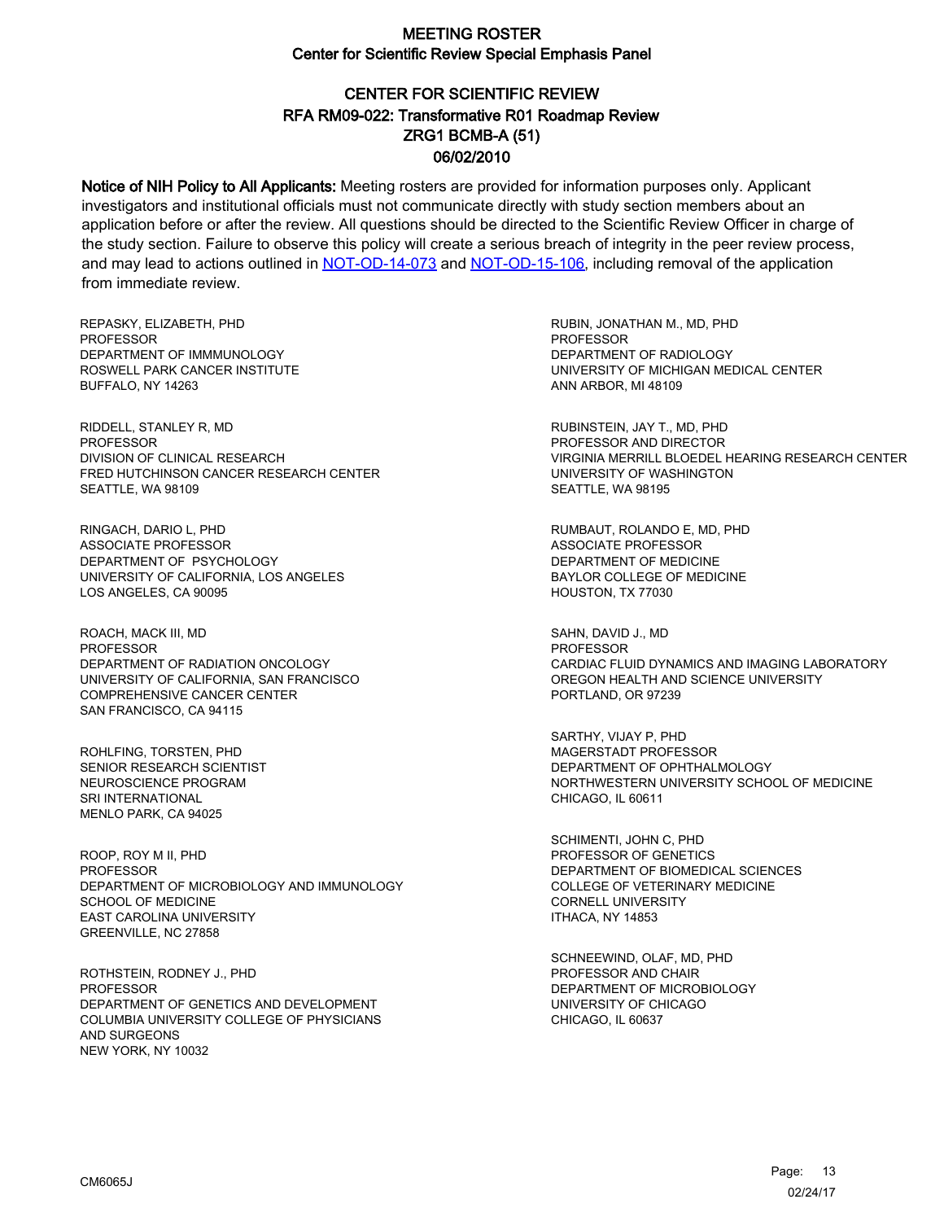# CENTER FOR SCIENTIFIC REVIEW ZRG1 BCMB-A (51) 06/02/2010 RFA RM09-022: Transformative R01 Roadmap Review

Notice of NIH Policy to All Applicants: Meeting rosters are provided for information purposes only. Applicant investigators and institutional officials must not communicate directly with study section members about an application before or after the review. All questions should be directed to the Scientific Review Officer in charge of the study section. Failure to observe this policy will create a serious breach of integrity in the peer review process, and may lead to actions outlined in [NOT-OD-14-073](https://grants.nih.gov/grants/guide/notice-files/NOT-OD-14-073.html) and [NOT-OD-15-106,](https://grants.nih.gov/grants/guide/notice-files/NOT-OD-15-106.html) including removal of the application from immediate review.

REPASKY, ELIZABETH, PHD **PROFESSOR** DEPARTMENT OF IMMMUNOLOGY ROSWELL PARK CANCER INSTITUTE BUFFALO, NY 14263

RIDDELL, STANLEY R, MD PROFESSOR DIVISION OF CLINICAL RESEARCH FRED HUTCHINSON CANCER RESEARCH CENTER SEATTLE, WA 98109

RINGACH, DARIO L, PHD ASSOCIATE PROFESSOR DEPARTMENT OF PSYCHOLOGY UNIVERSITY OF CALIFORNIA, LOS ANGELES LOS ANGELES, CA 90095

ROACH, MACK III, MD **PROFESSOR** DEPARTMENT OF RADIATION ONCOLOGY UNIVERSITY OF CALIFORNIA, SAN FRANCISCO COMPREHENSIVE CANCER CENTER SAN FRANCISCO, CA 94115

ROHLFING, TORSTEN, PHD SENIOR RESEARCH SCIENTIST NEUROSCIENCE PROGRAM SRI INTERNATIONAL MENLO PARK, CA 94025

ROOP, ROY M II, PHD PROFESSOR DEPARTMENT OF MICROBIOLOGY AND IMMUNOLOGY SCHOOL OF MEDICINE EAST CAROLINA UNIVERSITY GREENVILLE, NC 27858

ROTHSTEIN, RODNEY J., PHD PROFESSOR DEPARTMENT OF GENETICS AND DEVELOPMENT COLUMBIA UNIVERSITY COLLEGE OF PHYSICIANS AND SURGEONS NEW YORK, NY 10032

RUBIN, JONATHAN M., MD, PHD PROFESSOR DEPARTMENT OF RADIOLOGY UNIVERSITY OF MICHIGAN MEDICAL CENTER ANN ARBOR, MI 48109

RUBINSTEIN, JAY T., MD, PHD PROFESSOR AND DIRECTOR VIRGINIA MERRILL BLOEDEL HEARING RESEARCH CENTER UNIVERSITY OF WASHINGTON SEATTLE, WA 98195

RUMBAUT, ROLANDO E, MD, PHD ASSOCIATE PROFESSOR DEPARTMENT OF MEDICINE BAYLOR COLLEGE OF MEDICINE HOUSTON, TX 77030

SAHN, DAVID J., MD PROFESSOR CARDIAC FLUID DYNAMICS AND IMAGING LABORATORY OREGON HEALTH AND SCIENCE UNIVERSITY PORTLAND, OR 97239

SARTHY, VIJAY P, PHD MAGERSTADT PROFESSOR DEPARTMENT OF OPHTHALMOLOGY NORTHWESTERN UNIVERSITY SCHOOL OF MEDICINE CHICAGO, IL 60611

SCHIMENTI, JOHN C, PHD PROFESSOR OF GENETICS DEPARTMENT OF BIOMEDICAL SCIENCES COLLEGE OF VETERINARY MEDICINE CORNELL UNIVERSITY ITHACA, NY 14853

SCHNEEWIND, OLAF, MD, PHD PROFESSOR AND CHAIR DEPARTMENT OF MICROBIOLOGY UNIVERSITY OF CHICAGO CHICAGO, IL 60637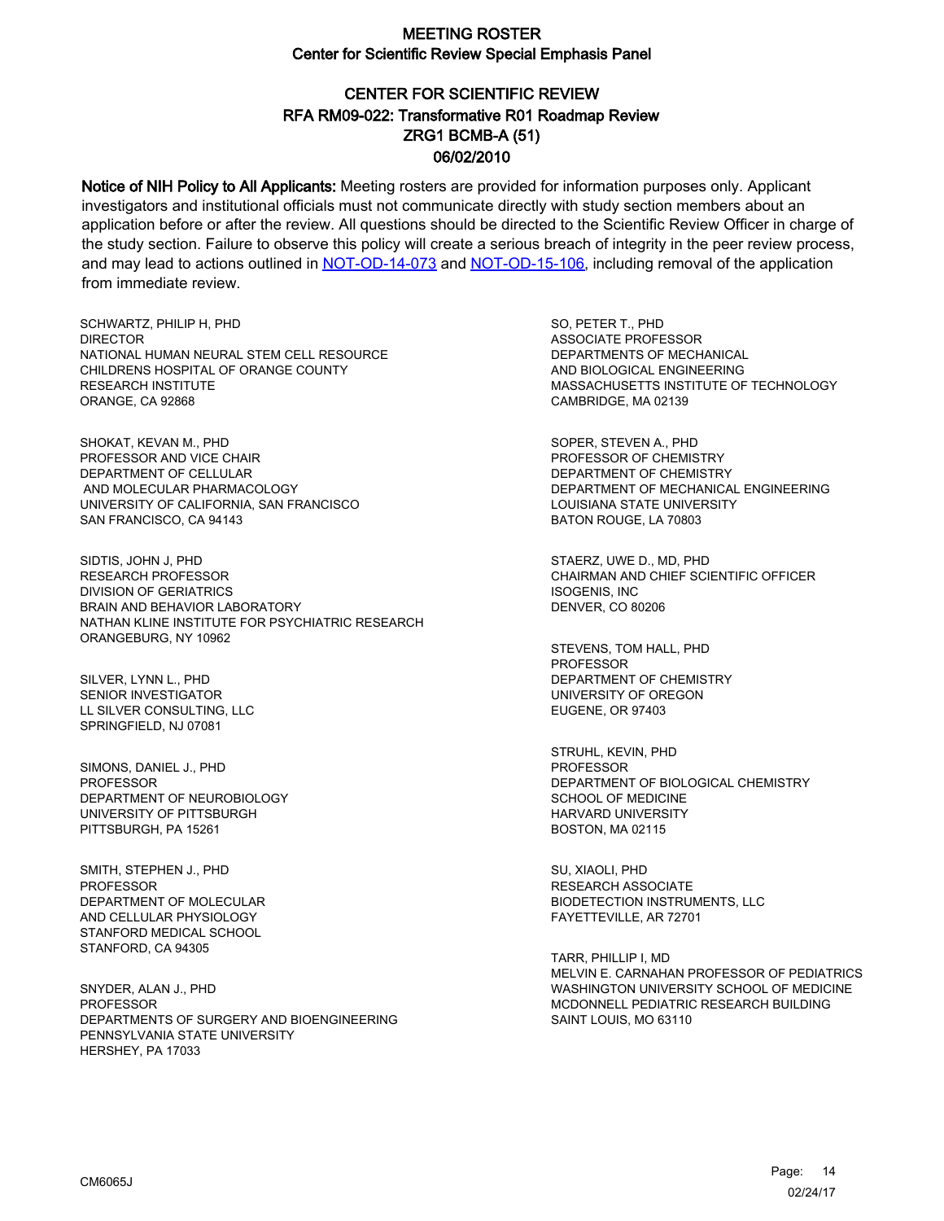# CENTER FOR SCIENTIFIC REVIEW ZRG1 BCMB-A (51) 06/02/2010 RFA RM09-022: Transformative R01 Roadmap Review

Notice of NIH Policy to All Applicants: Meeting rosters are provided for information purposes only. Applicant investigators and institutional officials must not communicate directly with study section members about an application before or after the review. All questions should be directed to the Scientific Review Officer in charge of the study section. Failure to observe this policy will create a serious breach of integrity in the peer review process, and may lead to actions outlined in [NOT-OD-14-073](https://grants.nih.gov/grants/guide/notice-files/NOT-OD-14-073.html) and [NOT-OD-15-106,](https://grants.nih.gov/grants/guide/notice-files/NOT-OD-15-106.html) including removal of the application from immediate review.

SCHWARTZ, PHILIP H, PHD **DIRECTOR** NATIONAL HUMAN NEURAL STEM CELL RESOURCE CHILDRENS HOSPITAL OF ORANGE COUNTY RESEARCH INSTITUTE ORANGE, CA 92868

SHOKAT, KEVAN M., PHD PROFESSOR AND VICE CHAIR DEPARTMENT OF CELLULAR AND MOLECULAR PHARMACOLOGY UNIVERSITY OF CALIFORNIA, SAN FRANCISCO SAN FRANCISCO, CA 94143

SIDTIS, JOHN J, PHD RESEARCH PROFESSOR DIVISION OF GERIATRICS BRAIN AND BEHAVIOR LABORATORY NATHAN KLINE INSTITUTE FOR PSYCHIATRIC RESEARCH ORANGEBURG, NY 10962

SILVER, LYNN L., PHD SENIOR INVESTIGATOR LL SILVER CONSULTING, LLC SPRINGFIELD, NJ 07081

SIMONS, DANIEL J., PHD PROFESSOR DEPARTMENT OF NEUROBIOLOGY UNIVERSITY OF PITTSBURGH PITTSBURGH, PA 15261

SMITH, STEPHEN J., PHD PROFESSOR DEPARTMENT OF MOLECULAR AND CELLULAR PHYSIOLOGY STANFORD MEDICAL SCHOOL STANFORD, CA 94305

SNYDER, ALAN J., PHD **PROFESSOR** DEPARTMENTS OF SURGERY AND BIOENGINEERING PENNSYLVANIA STATE UNIVERSITY HERSHEY, PA 17033

SO, PETER T., PHD ASSOCIATE PROFESSOR DEPARTMENTS OF MECHANICAL AND BIOLOGICAL ENGINEERING MASSACHUSETTS INSTITUTE OF TECHNOLOGY CAMBRIDGE, MA 02139

SOPER, STEVEN A., PHD PROFESSOR OF CHEMISTRY DEPARTMENT OF CHEMISTRY DEPARTMENT OF MECHANICAL ENGINEERING LOUISIANA STATE UNIVERSITY BATON ROUGE, LA 70803

STAERZ, UWE D., MD, PHD CHAIRMAN AND CHIEF SCIENTIFIC OFFICER ISOGENIS, INC DENVER, CO 80206

STEVENS, TOM HALL, PHD PROFESSOR DEPARTMENT OF CHEMISTRY UNIVERSITY OF OREGON EUGENE, OR 97403

STRUHL, KEVIN, PHD PROFESSOR DEPARTMENT OF BIOLOGICAL CHEMISTRY SCHOOL OF MEDICINE HARVARD UNIVERSITY BOSTON, MA 02115

SU, XIAOLI, PHD RESEARCH ASSOCIATE BIODETECTION INSTRUMENTS, LLC FAYETTEVILLE, AR 72701

TARR, PHILLIP I, MD MELVIN E. CARNAHAN PROFESSOR OF PEDIATRICS WASHINGTON UNIVERSITY SCHOOL OF MEDICINE MCDONNELL PEDIATRIC RESEARCH BUILDING SAINT LOUIS, MO 63110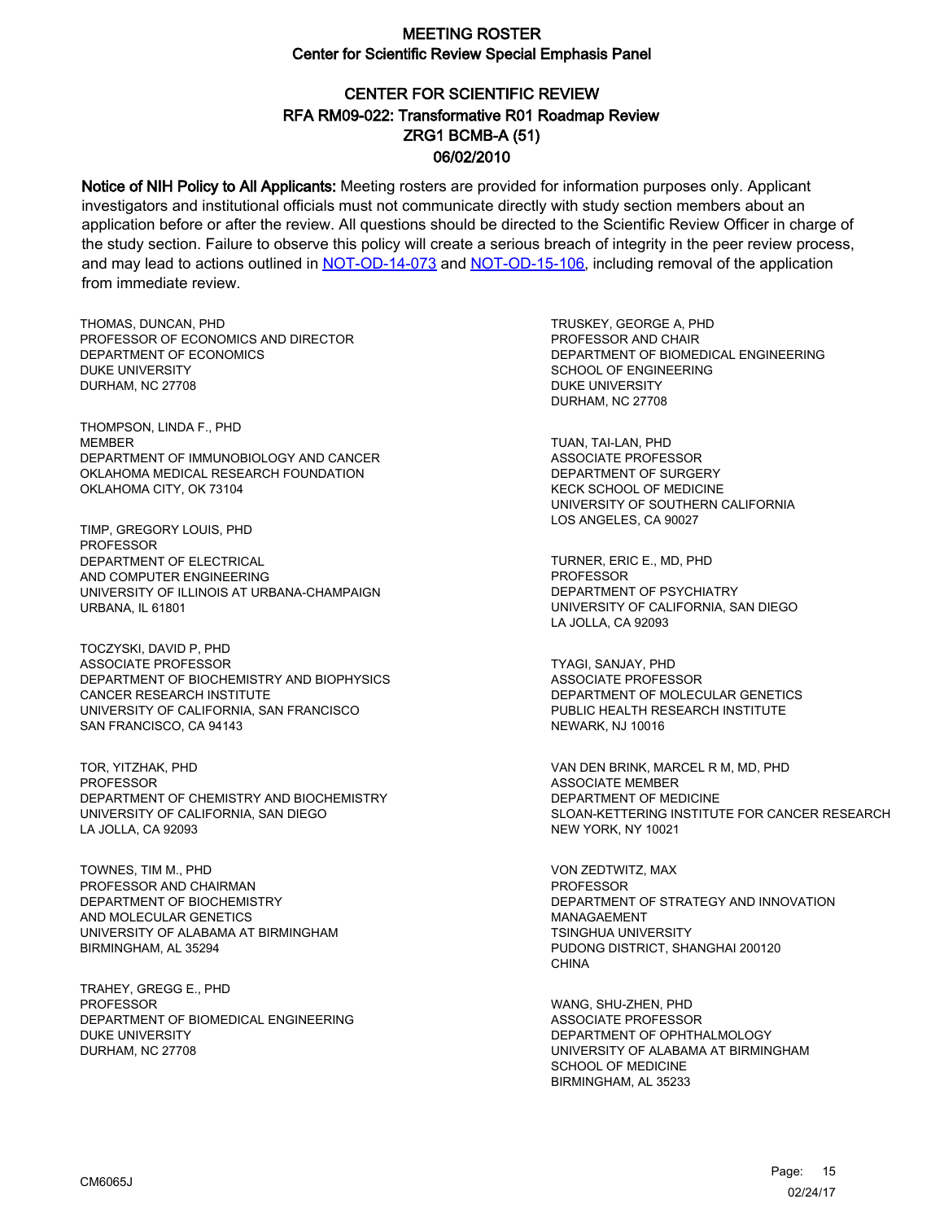# CENTER FOR SCIENTIFIC REVIEW ZRG1 BCMB-A (51) 06/02/2010 RFA RM09-022: Transformative R01 Roadmap Review

Notice of NIH Policy to All Applicants: Meeting rosters are provided for information purposes only. Applicant investigators and institutional officials must not communicate directly with study section members about an application before or after the review. All questions should be directed to the Scientific Review Officer in charge of the study section. Failure to observe this policy will create a serious breach of integrity in the peer review process, and may lead to actions outlined in [NOT-OD-14-073](https://grants.nih.gov/grants/guide/notice-files/NOT-OD-14-073.html) and [NOT-OD-15-106,](https://grants.nih.gov/grants/guide/notice-files/NOT-OD-15-106.html) including removal of the application from immediate review.

THOMAS, DUNCAN, PHD PROFESSOR OF ECONOMICS AND DIRECTOR DEPARTMENT OF ECONOMICS DUKE UNIVERSITY DURHAM, NC 27708

THOMPSON, LINDA F., PHD MEMBER DEPARTMENT OF IMMUNOBIOLOGY AND CANCER OKLAHOMA MEDICAL RESEARCH FOUNDATION OKLAHOMA CITY, OK 73104

TIMP, GREGORY LOUIS, PHD PROFESSOR DEPARTMENT OF ELECTRICAL AND COMPUTER ENGINEERING UNIVERSITY OF ILLINOIS AT URBANA-CHAMPAIGN URBANA, IL 61801

TOCZYSKI, DAVID P, PHD ASSOCIATE PROFESSOR DEPARTMENT OF BIOCHEMISTRY AND BIOPHYSICS CANCER RESEARCH INSTITUTE UNIVERSITY OF CALIFORNIA, SAN FRANCISCO SAN FRANCISCO, CA 94143

TOR, YITZHAK, PHD PROFESSOR DEPARTMENT OF CHEMISTRY AND BIOCHEMISTRY UNIVERSITY OF CALIFORNIA, SAN DIEGO LA JOLLA, CA 92093

TOWNES, TIM M., PHD PROFESSOR AND CHAIRMAN DEPARTMENT OF BIOCHEMISTRY AND MOLECULAR GENETICS UNIVERSITY OF ALABAMA AT BIRMINGHAM BIRMINGHAM, AL 35294

TRAHEY, GREGG E., PHD **PROFESSOR** DEPARTMENT OF BIOMEDICAL ENGINEERING DUKE UNIVERSITY DURHAM, NC 27708

TRUSKEY, GEORGE A, PHD PROFESSOR AND CHAIR DEPARTMENT OF BIOMEDICAL ENGINEERING SCHOOL OF ENGINEERING DUKE UNIVERSITY DURHAM, NC 27708

TUAN, TAI-LAN, PHD ASSOCIATE PROFESSOR DEPARTMENT OF SURGERY KECK SCHOOL OF MEDICINE UNIVERSITY OF SOUTHERN CALIFORNIA LOS ANGELES, CA 90027

TURNER, ERIC E., MD, PHD **PROFESSOR** DEPARTMENT OF PSYCHIATRY UNIVERSITY OF CALIFORNIA, SAN DIEGO LA JOLLA, CA 92093

TYAGI, SANJAY, PHD ASSOCIATE PROFESSOR DEPARTMENT OF MOLECULAR GENETICS PUBLIC HEALTH RESEARCH INSTITUTE NEWARK, NJ 10016

VAN DEN BRINK, MARCEL R M, MD, PHD ASSOCIATE MEMBER DEPARTMENT OF MEDICINE SLOAN-KETTERING INSTITUTE FOR CANCER RESEARCH NEW YORK, NY 10021

VON ZEDTWITZ, MAX **PROFESSOR** DEPARTMENT OF STRATEGY AND INNOVATION MANAGAEMENT TSINGHUA UNIVERSITY PUDONG DISTRICT, SHANGHAI 200120 CHINA

WANG, SHU-ZHEN, PHD ASSOCIATE PROFESSOR DEPARTMENT OF OPHTHALMOLOGY UNIVERSITY OF ALABAMA AT BIRMINGHAM SCHOOL OF MEDICINE BIRMINGHAM, AL 35233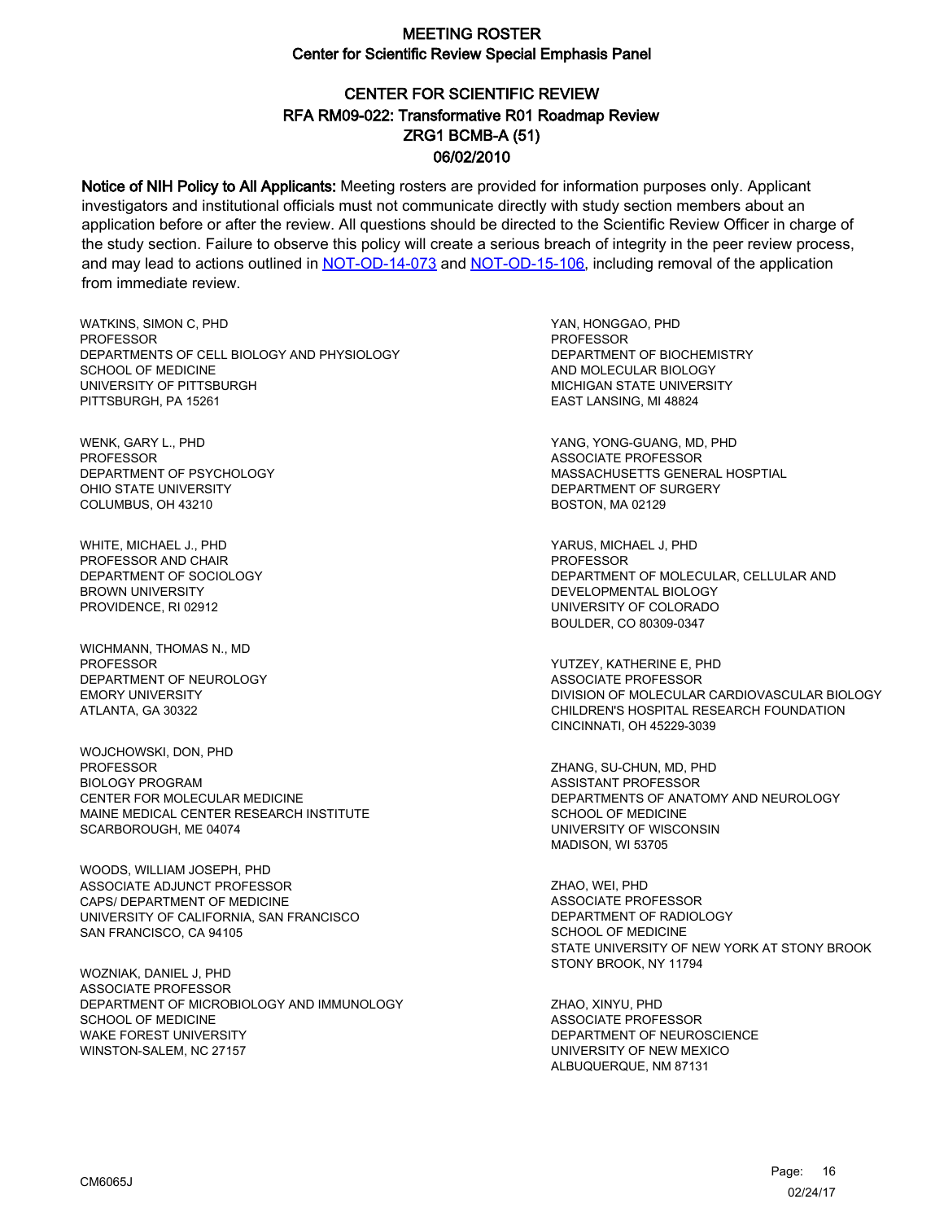# CENTER FOR SCIENTIFIC REVIEW ZRG1 BCMB-A (51) 06/02/2010 RFA RM09-022: Transformative R01 Roadmap Review

Notice of NIH Policy to All Applicants: Meeting rosters are provided for information purposes only. Applicant investigators and institutional officials must not communicate directly with study section members about an application before or after the review. All questions should be directed to the Scientific Review Officer in charge of the study section. Failure to observe this policy will create a serious breach of integrity in the peer review process, and may lead to actions outlined in [NOT-OD-14-073](https://grants.nih.gov/grants/guide/notice-files/NOT-OD-14-073.html) and [NOT-OD-15-106,](https://grants.nih.gov/grants/guide/notice-files/NOT-OD-15-106.html) including removal of the application from immediate review.

WATKINS, SIMON C, PHD **PROFESSOR** DEPARTMENTS OF CELL BIOLOGY AND PHYSIOLOGY SCHOOL OF MEDICINE UNIVERSITY OF PITTSBURGH PITTSBURGH, PA 15261

WENK, GARY L., PHD PROFESSOR DEPARTMENT OF PSYCHOLOGY OHIO STATE UNIVERSITY COLUMBUS, OH 43210

WHITE, MICHAEL J., PHD PROFESSOR AND CHAIR DEPARTMENT OF SOCIOLOGY BROWN UNIVERSITY PROVIDENCE, RI 02912

WICHMANN, THOMAS N., MD PROFESSOR DEPARTMENT OF NEUROLOGY EMORY UNIVERSITY ATLANTA, GA 30322

WOJCHOWSKI, DON, PHD PROFESSOR BIOLOGY PROGRAM CENTER FOR MOLECULAR MEDICINE MAINE MEDICAL CENTER RESEARCH INSTITUTE SCARBOROUGH, ME 04074

WOODS, WILLIAM JOSEPH, PHD ASSOCIATE ADJUNCT PROFESSOR CAPS/ DEPARTMENT OF MEDICINE UNIVERSITY OF CALIFORNIA, SAN FRANCISCO SAN FRANCISCO, CA 94105

WOZNIAK, DANIEL J, PHD ASSOCIATE PROFESSOR DEPARTMENT OF MICROBIOLOGY AND IMMUNOLOGY SCHOOL OF MEDICINE WAKE FOREST UNIVERSITY WINSTON-SALEM, NC 27157

YAN, HONGGAO, PHD PROFESSOR DEPARTMENT OF BIOCHEMISTRY AND MOLECULAR BIOLOGY MICHIGAN STATE UNIVERSITY EAST LANSING, MI 48824

YANG, YONG-GUANG, MD, PHD ASSOCIATE PROFESSOR MASSACHUSETTS GENERAL HOSPTIAL DEPARTMENT OF SURGERY BOSTON, MA 02129

YARUS, MICHAEL J, PHD PROFESSOR DEPARTMENT OF MOLECULAR, CELLULAR AND DEVELOPMENTAL BIOLOGY UNIVERSITY OF COLORADO BOULDER, CO 80309-0347

YUTZEY, KATHERINE E, PHD ASSOCIATE PROFESSOR DIVISION OF MOLECULAR CARDIOVASCULAR BIOLOGY CHILDREN'S HOSPITAL RESEARCH FOUNDATION CINCINNATI, OH 45229-3039

ZHANG, SU-CHUN, MD, PHD ASSISTANT PROFESSOR DEPARTMENTS OF ANATOMY AND NEUROLOGY SCHOOL OF MEDICINE UNIVERSITY OF WISCONSIN MADISON, WI 53705

ZHAO, WEI, PHD ASSOCIATE PROFESSOR DEPARTMENT OF RADIOLOGY SCHOOL OF MEDICINE STATE UNIVERSITY OF NEW YORK AT STONY BROOK STONY BROOK, NY 11794

ZHAO, XINYU, PHD ASSOCIATE PROFESSOR DEPARTMENT OF NEUROSCIENCE UNIVERSITY OF NEW MEXICO ALBUQUERQUE, NM 87131